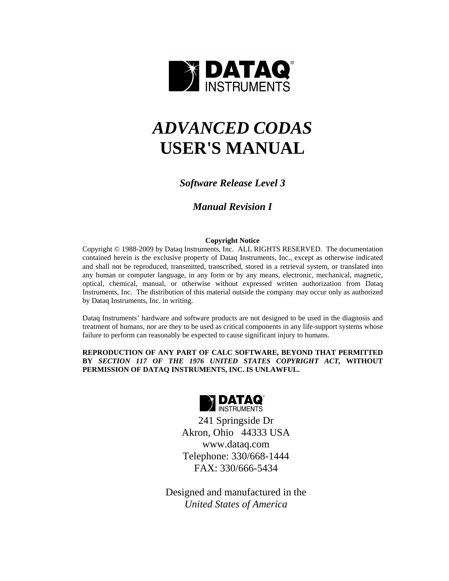

# *ADVANCED CODAS*  **USER'S MANUAL**

# *Software Release Level 3*

# *Manual Revision I*

# **Copyright Notice**

Copyright © 1988-2009 by Dataq Instruments, Inc. ALL RIGHTS RESERVED. The documentation contained herein is the exclusive property of Dataq Instruments, Inc., except as otherwise indicated and shall not be reproduced, transmitted, transcribed, stored in a retrieval system, or translated into any human or computer language, in any form or by any means, electronic, mechanical, magnetic, optical, chemical, manual, or otherwise without expressed written authorization from Dataq Instruments, Inc. The distribution of this material outside the company may occur only as authorized by Dataq Instruments, Inc. in writing.

Dataq Instruments' hardware and software products are not designed to be used in the diagnosis and treatment of humans, nor are they to be used as critical components in any life-support systems whose failure to perform can reasonably be expected to cause significant injury to humans.

# **REPRODUCTION OF ANY PART OF CALC SOFTWARE, BEYOND THAT PERMITTED BY** *SECTION 117 OF THE 1976 UNITED STATES COPYRIGHT ACT,* **WITHOUT PERMISSION OF DATAQ INSTRUMENTS, INC. IS UNLAWFUL.**



241 Springside Dr Akron, Ohio 44333 USA www.dataq.com Telephone: 330/668-1444 FAX: 330/666-5434

Designed and manufactured in the *United States of America*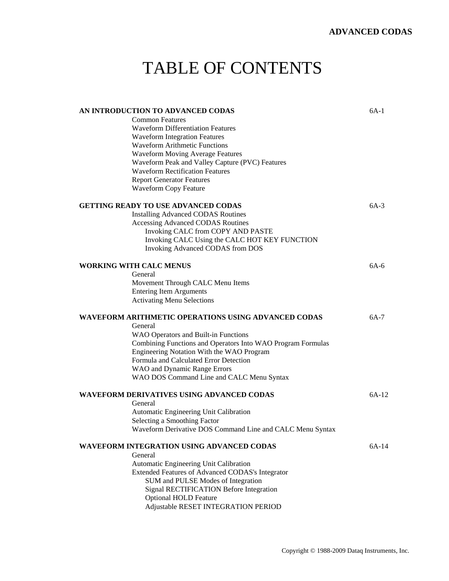# TABLE OF CONTENTS

| AN INTRODUCTION TO ADVANCED CODAS                           | 6A-1   |
|-------------------------------------------------------------|--------|
| <b>Common Features</b>                                      |        |
| <b>Waveform Differentiation Features</b>                    |        |
| <b>Waveform Integration Features</b>                        |        |
| <b>Waveform Arithmetic Functions</b>                        |        |
| <b>Waveform Moving Average Features</b>                     |        |
| Waveform Peak and Valley Capture (PVC) Features             |        |
| <b>Waveform Rectification Features</b>                      |        |
| <b>Report Generator Features</b>                            |        |
| <b>Waveform Copy Feature</b>                                |        |
| GETTING READY TO USE ADVANCED CODAS                         | $6A-3$ |
| <b>Installing Advanced CODAS Routines</b>                   |        |
| <b>Accessing Advanced CODAS Routines</b>                    |        |
| Invoking CALC from COPY AND PASTE                           |        |
| Invoking CALC Using the CALC HOT KEY FUNCTION               |        |
| Invoking Advanced CODAS from DOS                            |        |
|                                                             |        |
| <b>WORKING WITH CALC MENUS</b>                              | $6A-6$ |
| General                                                     |        |
| Movement Through CALC Menu Items                            |        |
| <b>Entering Item Arguments</b>                              |        |
| <b>Activating Menu Selections</b>                           |        |
|                                                             |        |
| WAVEFORM ARITHMETIC OPERATIONS USING ADVANCED CODAS         | 6A-7   |
| General                                                     |        |
| WAO Operators and Built-in Functions                        |        |
| Combining Functions and Operators Into WAO Program Formulas |        |
| Engineering Notation With the WAO Program                   |        |
| Formula and Calculated Error Detection                      |        |
| WAO and Dynamic Range Errors                                |        |
| WAO DOS Command Line and CALC Menu Syntax                   |        |
| WAVEFORM DERIVATIVES USING ADVANCED CODAS                   | 6A-12  |
| General                                                     |        |
| Automatic Engineering Unit Calibration                      |        |
| Selecting a Smoothing Factor                                |        |
| Waveform Derivative DOS Command Line and CALC Menu Syntax   |        |
|                                                             |        |
| WAVEFORM INTEGRATION USING ADVANCED CODAS                   | 6A-14  |
| General                                                     |        |
| Automatic Engineering Unit Calibration                      |        |
| Extended Features of Advanced CODAS's Integrator            |        |
| SUM and PULSE Modes of Integration                          |        |
| Signal RECTIFICATION Before Integration                     |        |
| <b>Optional HOLD Feature</b>                                |        |
| Adjustable RESET INTEGRATION PERIOD                         |        |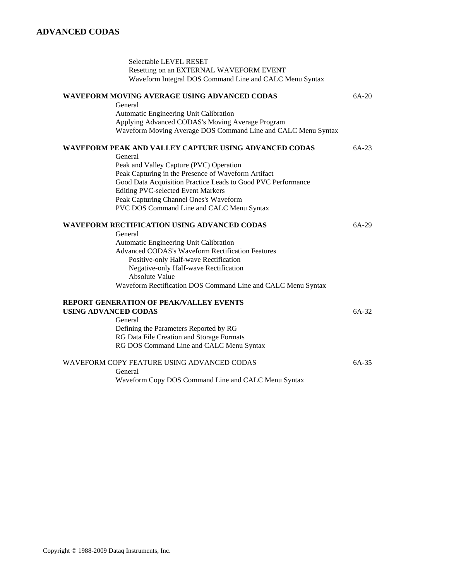| Selectable LEVEL RESET                                        |         |
|---------------------------------------------------------------|---------|
| Resetting on an EXTERNAL WAVEFORM EVENT                       |         |
| Waveform Integral DOS Command Line and CALC Menu Syntax       |         |
| WAVEFORM MOVING AVERAGE USING ADVANCED CODAS                  | $6A-20$ |
| General                                                       |         |
| Automatic Engineering Unit Calibration                        |         |
| Applying Advanced CODAS's Moving Average Program              |         |
| Waveform Moving Average DOS Command Line and CALC Menu Syntax |         |
| WAVEFORM PEAK AND VALLEY CAPTURE USING ADVANCED CODAS         | 6A-23   |
| General                                                       |         |
| Peak and Valley Capture (PVC) Operation                       |         |
| Peak Capturing in the Presence of Waveform Artifact           |         |
| Good Data Acquisition Practice Leads to Good PVC Performance  |         |
| <b>Editing PVC-selected Event Markers</b>                     |         |
| Peak Capturing Channel Ones's Waveform                        |         |
| PVC DOS Command Line and CALC Menu Syntax                     |         |
| <b>WAVEFORM RECTIFICATION USING ADVANCED CODAS</b>            | $6A-29$ |
| General                                                       |         |
| Automatic Engineering Unit Calibration                        |         |
| <b>Advanced CODAS's Waveform Rectification Features</b>       |         |
| Positive-only Half-wave Rectification                         |         |
| Negative-only Half-wave Rectification                         |         |
| <b>Absolute Value</b>                                         |         |
| Waveform Rectification DOS Command Line and CALC Menu Syntax  |         |
| REPORT GENERATION OF PEAK/VALLEY EVENTS                       |         |
| <b>USING ADVANCED CODAS</b>                                   | 6A-32   |
| General                                                       |         |
| Defining the Parameters Reported by RG                        |         |
| RG Data File Creation and Storage Formats                     |         |
| RG DOS Command Line and CALC Menu Syntax                      |         |
| WAVEFORM COPY FEATURE USING ADVANCED CODAS                    | $6A-35$ |
| General                                                       |         |
| Waveform Copy DOS Command Line and CALC Menu Syntax           |         |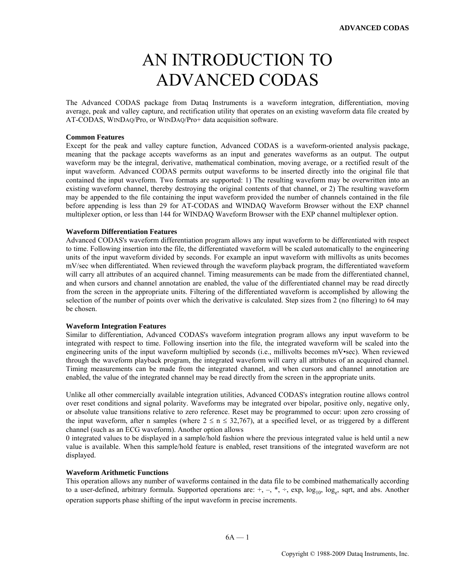# AN INTRODUCTION TO ADVANCED CODAS

The Advanced CODAS package from Dataq Instruments is a waveform integration, differentiation, moving average, peak and valley capture, and rectification utility that operates on an existing waveform data file created by AT-CODAS, WINDAQ/Pro, or WINDAQ/Pro+ data acquisition software.

#### **Common Features**

Except for the peak and valley capture function, Advanced CODAS is a waveform-oriented analysis package, meaning that the package accepts waveforms as an input and generates waveforms as an output. The output waveform may be the integral, derivative, mathematical combination, moving average, or a rectified result of the input waveform. Advanced CODAS permits output waveforms to be inserted directly into the original file that contained the input waveform. Two formats are supported: 1) The resulting waveform may be overwritten into an existing waveform channel, thereby destroying the original contents of that channel, or 2) The resulting waveform may be appended to the file containing the input waveform provided the number of channels contained in the file before appending is less than 29 for AT-CODAS and WINDAQ Waveform Browser without the EXP channel multiplexer option, or less than 144 for WINDAQ Waveform Browser with the EXP channel multiplexer option.

#### **Waveform Differentiation Features**

Advanced CODAS's waveform differentiation program allows any input waveform to be differentiated with respect to time. Following insertion into the file, the differentiated waveform will be scaled automatically to the engineering units of the input waveform divided by seconds. For example an input waveform with millivolts as units becomes mV/sec when differentiated. When reviewed through the waveform playback program, the differentiated waveform will carry all attributes of an acquired channel. Timing measurements can be made from the differentiated channel, and when cursors and channel annotation are enabled, the value of the differentiated channel may be read directly from the screen in the appropriate units. Filtering of the differentiated waveform is accomplished by allowing the selection of the number of points over which the derivative is calculated. Step sizes from 2 (no filtering) to 64 may be chosen.

### **Waveform Integration Features**

Similar to differentiation, Advanced CODAS's waveform integration program allows any input waveform to be integrated with respect to time. Following insertion into the file, the integrated waveform will be scaled into the engineering units of the input waveform multiplied by seconds (i.e., millivolts becomes mV•sec). When reviewed through the waveform playback program, the integrated waveform will carry all attributes of an acquired channel. Timing measurements can be made from the integrated channel, and when cursors and channel annotation are enabled, the value of the integrated channel may be read directly from the screen in the appropriate units.

Unlike all other commercially available integration utilities, Advanced CODAS's integration routine allows control over reset conditions and signal polarity. Waveforms may be integrated over bipolar, positive only, negative only, or absolute value transitions relative to zero reference. Reset may be programmed to occur: upon zero crossing of the input waveform, after n samples (where  $2 \le n \le 32.767$ ), at a specified level, or as triggered by a different channel (such as an ECG waveform). Another option allows

0 integrated values to be displayed in a sample/hold fashion where the previous integrated value is held until a new value is available. When this sample/hold feature is enabled, reset transitions of the integrated waveform are not displayed.

#### **Waveform Arithmetic Functions**

This operation allows any number of waveforms contained in the data file to be combined mathematically according to a user-defined, arbitrary formula. Supported operations are:  $+$ ,  $-$ ,  $*$ ,  $\div$ , exp,  $\log_{10}$ ,  $\log_{e}$ , sqrt, and abs. Another operation supports phase shifting of the input waveform in precise increments.

 $6A - 1$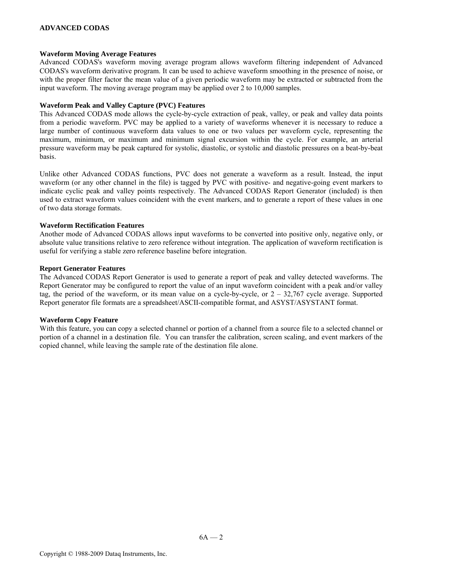### **ADVANCED CODAS**

#### **Waveform Moving Average Features**

Advanced CODAS's waveform moving average program allows waveform filtering independent of Advanced CODAS's waveform derivative program. It can be used to achieve waveform smoothing in the presence of noise, or with the proper filter factor the mean value of a given periodic waveform may be extracted or subtracted from the input waveform. The moving average program may be applied over 2 to 10,000 samples.

#### **Waveform Peak and Valley Capture (PVC) Features**

This Advanced CODAS mode allows the cycle-by-cycle extraction of peak, valley, or peak and valley data points from a periodic waveform. PVC may be applied to a variety of waveforms whenever it is necessary to reduce a large number of continuous waveform data values to one or two values per waveform cycle, representing the maximum, minimum, or maximum and minimum signal excursion within the cycle. For example, an arterial pressure waveform may be peak captured for systolic, diastolic, or systolic and diastolic pressures on a beat-by-beat basis.

Unlike other Advanced CODAS functions, PVC does not generate a waveform as a result. Instead, the input waveform (or any other channel in the file) is tagged by PVC with positive- and negative-going event markers to indicate cyclic peak and valley points respectively. The Advanced CODAS Report Generator (included) is then used to extract waveform values coincident with the event markers, and to generate a report of these values in one of two data storage formats.

#### **Waveform Rectification Features**

Another mode of Advanced CODAS allows input waveforms to be converted into positive only, negative only, or absolute value transitions relative to zero reference without integration. The application of waveform rectification is useful for verifying a stable zero reference baseline before integration.

#### **Report Generator Features**

The Advanced CODAS Report Generator is used to generate a report of peak and valley detected waveforms. The Report Generator may be configured to report the value of an input waveform coincident with a peak and/or valley tag, the period of the waveform, or its mean value on a cycle-by-cycle, or  $2 - 32,767$  cycle average. Supported Report generator file formats are a spreadsheet/ASCII-compatible format, and ASYST/ASYSTANT format.

#### **Waveform Copy Feature**

With this feature, you can copy a selected channel or portion of a channel from a source file to a selected channel or portion of a channel in a destination file. You can transfer the calibration, screen scaling, and event markers of the copied channel, while leaving the sample rate of the destination file alone.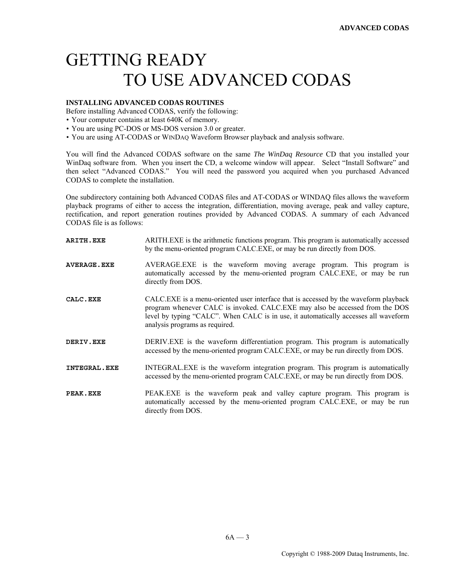# GETTING READY TO USE ADVANCED CODAS

# **INSTALLING ADVANCED CODAS ROUTINES**

Before installing Advanced CODAS, verify the following:

- Your computer contains at least 640K of memory.
- You are using PC-DOS or MS-DOS version 3.0 or greater.
- You are using AT-CODAS or WINDAQ Waveform Browser playback and analysis software.

You will find the Advanced CODAS software on the same *The WinDaq Resource* CD that you installed your WinDaq software from. When you insert the CD, a welcome window will appear. Select "Install Software" and then select "Advanced CODAS." You will need the password you acquired when you purchased Advanced CODAS to complete the installation.

One subdirectory containing both Advanced CODAS files and AT-CODAS or WINDAQ files allows the waveform playback programs of either to access the integration, differentiation, moving average, peak and valley capture, rectification, and report generation routines provided by Advanced CODAS. A summary of each Advanced CODAS file is as follows:

| <b>ARITH.EXE</b>   | ARITH.EXE is the arithmetic functions program. This program is automatically accessed<br>by the menu-oriented program CALC.EXE, or may be run directly from DOS.                                                                                                                              |
|--------------------|-----------------------------------------------------------------------------------------------------------------------------------------------------------------------------------------------------------------------------------------------------------------------------------------------|
| <b>AVERAGE.EXE</b> | AVERAGE.EXE is the waveform moving average program. This program is<br>automatically accessed by the menu-oriented program CALC.EXE, or may be run<br>directly from DOS.                                                                                                                      |
| CALC.EXE           | CALC.EXE is a menu-oriented user interface that is accessed by the waveform playback<br>program whenever CALC is invoked. CALC.EXE may also be accessed from the DOS<br>level by typing "CALC". When CALC is in use, it automatically accesses all waveform<br>analysis programs as required. |
| DERIV.EXE          | DERIV.EXE is the waveform differentiation program. This program is automatically<br>accessed by the menu-oriented program CALC.EXE, or may be run directly from DOS.                                                                                                                          |
| INTEGRAL.EXE       | INTEGRAL.EXE is the waveform integration program. This program is automatically<br>accessed by the menu-oriented program CALC.EXE, or may be run directly from DOS.                                                                                                                           |
| PEAK.EXE           | PEAK.EXE is the waveform peak and valley capture program. This program is<br>automatically accessed by the menu-oriented program CALC.EXE, or may be run<br>directly from DOS.                                                                                                                |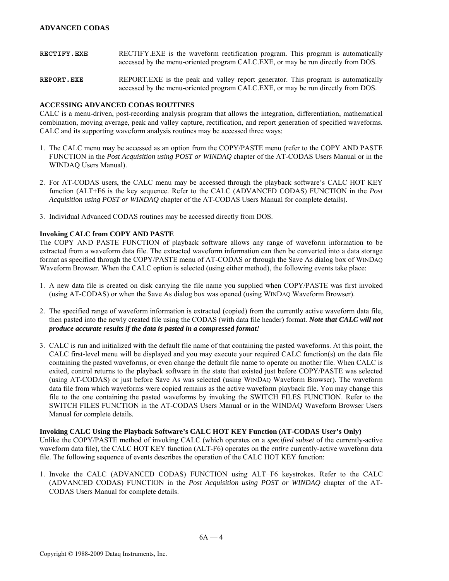- **RECTIFY.EXE** RECTIFY.EXE is the waveform rectification program. This program is automatically accessed by the menu-oriented program CALC.EXE, or may be run directly from DOS.
- **REPORT.EXE** Is the peak and valley report generator. This program is automatically accessed by the menu-oriented program CALC.EXE, or may be run directly from DOS.

#### **ACCESSING ADVANCED CODAS ROUTINES**

CALC is a menu-driven, post-recording analysis program that allows the integration, differentiation, mathematical combination, moving average, peak and valley capture, rectification, and report generation of specified waveforms. CALC and its supporting waveform analysis routines may be accessed three ways:

- 1. The CALC menu may be accessed as an option from the COPY/PASTE menu (refer to the COPY AND PASTE FUNCTION in the *Post Acquisition using POST or WINDAQ* chapter of the AT-CODAS Users Manual or in the WINDAQ Users Manual).
- 2. For AT-CODAS users, the CALC menu may be accessed through the playback software's CALC HOT KEY function (ALT+F6 is the key sequence. Refer to the CALC (ADVANCED CODAS) FUNCTION in the *Post Acquisition using POST or WINDAQ* chapter of the AT-CODAS Users Manual for complete details).
- 3. Individual Advanced CODAS routines may be accessed directly from DOS.

# **Invoking CALC from COPY AND PASTE**

The COPY AND PASTE FUNCTION of playback software allows any range of waveform information to be extracted from a waveform data file. The extracted waveform information can then be converted into a data storage format as specified through the COPY/PASTE menu of AT-CODAS or through the Save As dialog box of WINDAQ Waveform Browser. When the CALC option is selected (using either method), the following events take place:

- 1. A new data file is created on disk carrying the file name you supplied when COPY/PASTE was first invoked (using AT-CODAS) or when the Save As dialog box was opened (using WINDAQ Waveform Browser).
- 2. The specified range of waveform information is extracted (copied) from the currently active waveform data file, then pasted into the newly created file using the CODAS (with data file header) format. *Note that CALC will not produce accurate results if the data is pasted in a compressed format!*
- 3. CALC is run and initialized with the default file name of that containing the pasted waveforms. At this point, the CALC first-level menu will be displayed and you may execute your required CALC function(s) on the data file containing the pasted waveforms, or even change the default file name to operate on another file. When CALC is exited, control returns to the playback software in the state that existed just before COPY/PASTE was selected (using AT-CODAS) or just before Save As was selected (using WINDAQ Waveform Browser). The waveform data file from which waveforms were copied remains as the active waveform playback file. You may change this file to the one containing the pasted waveforms by invoking the SWITCH FILES FUNCTION. Refer to the SWITCH FILES FUNCTION in the AT-CODAS Users Manual or in the WINDAQ Waveform Browser Users Manual for complete details.

#### **Invoking CALC Using the Playback Software's CALC HOT KEY Function (AT-CODAS User's Only)**

Unlike the COPY/PASTE method of invoking CALC (which operates on a *specified subset* of the currently-active waveform data file), the CALC HOT KEY function (ALT-F6) operates on the *entire* currently-active waveform data file. The following sequence of events describes the operation of the CALC HOT KEY function:

1. Invoke the CALC (ADVANCED CODAS) FUNCTION using ALT+F6 keystrokes. Refer to the CALC (ADVANCED CODAS) FUNCTION in the *Post Acquisition using POST or WINDAQ* chapter of the AT-CODAS Users Manual for complete details.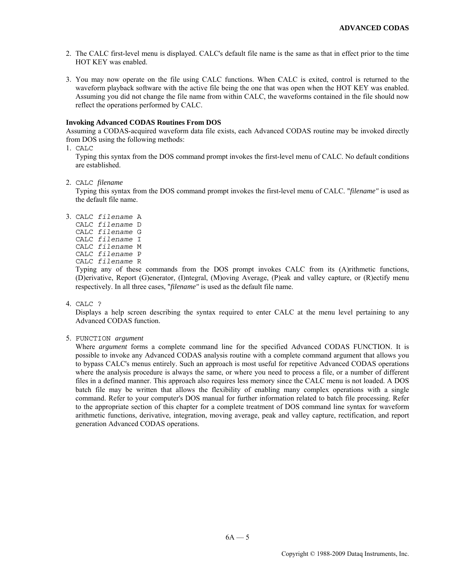- 2. The CALC first-level menu is displayed. CALC's default file name is the same as that in effect prior to the time HOT KEY was enabled.
- 3. You may now operate on the file using CALC functions. When CALC is exited, control is returned to the waveform playback software with the active file being the one that was open when the HOT KEY was enabled. Assuming you did not change the file name from within CALC, the waveforms contained in the file should now reflect the operations performed by CALC.

#### **Invoking Advanced CODAS Routines From DOS**

Assuming a CODAS-acquired waveform data file exists, each Advanced CODAS routine may be invoked directly from DOS using the following methods:

1. CALC

 Typing this syntax from the DOS command prompt invokes the first-level menu of CALC. No default conditions are established.

2. CALC *filename* 

Typing this syntax from the DOS command prompt invokes the first-level menu of CALC. "*filename"* is used as the default file name.

- 3. CALC *filename* A
	- CALC *filename* D CALC *filename* G
	- CALC *filename* I
	- CALC *filename* M
	- CALC *filename* P
	- CALC *filename* R

 Typing any of these commands from the DOS prompt invokes CALC from its (A)rithmetic functions, (D)erivative, Report (G)enerator, (I)ntegral, (M)oving Average, (P)eak and valley capture, or (R)ectify menu respectively. In all three cases, "*filename"* is used as the default file name.

4. CALC ?

 Displays a help screen describing the syntax required to enter CALC at the menu level pertaining to any Advanced CODAS function.

5. FUNCTION *argument* 

Where *argument* forms a complete command line for the specified Advanced CODAS FUNCTION. It is possible to invoke any Advanced CODAS analysis routine with a complete command argument that allows you to bypass CALC's menus entirely. Such an approach is most useful for repetitive Advanced CODAS operations where the analysis procedure is always the same, or where you need to process a file, or a number of different files in a defined manner. This approach also requires less memory since the CALC menu is not loaded. A DOS batch file may be written that allows the flexibility of enabling many complex operations with a single command. Refer to your computer's DOS manual for further information related to batch file processing. Refer to the appropriate section of this chapter for a complete treatment of DOS command line syntax for waveform arithmetic functions, derivative, integration, moving average, peak and valley capture, rectification, and report generation Advanced CODAS operations.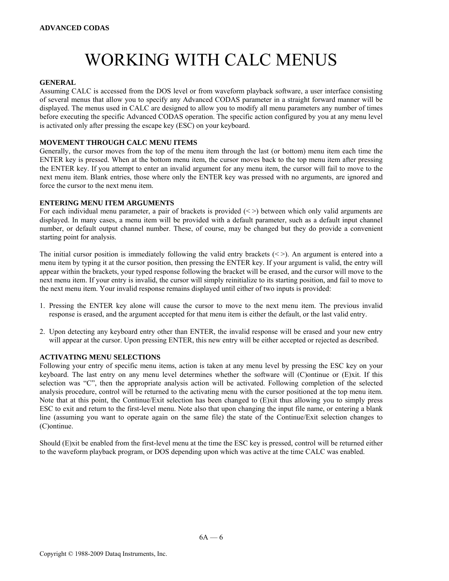# WORKING WITH CALC MENUS

#### **GENERAL**

Assuming CALC is accessed from the DOS level or from waveform playback software, a user interface consisting of several menus that allow you to specify any Advanced CODAS parameter in a straight forward manner will be displayed. The menus used in CALC are designed to allow you to modify all menu parameters any number of times before executing the specific Advanced CODAS operation. The specific action configured by you at any menu level is activated only after pressing the escape key (ESC) on your keyboard.

#### **MOVEMENT THROUGH CALC MENU ITEMS**

Generally, the cursor moves from the top of the menu item through the last (or bottom) menu item each time the ENTER key is pressed. When at the bottom menu item, the cursor moves back to the top menu item after pressing the ENTER key. If you attempt to enter an invalid argument for any menu item, the cursor will fail to move to the next menu item. Blank entries, those where only the ENTER key was pressed with no arguments, are ignored and force the cursor to the next menu item.

#### **ENTERING MENU ITEM ARGUMENTS**

For each individual menu parameter, a pair of brackets is provided (<>) between which only valid arguments are displayed. In many cases, a menu item will be provided with a default parameter, such as a default input channel number, or default output channel number. These, of course, may be changed but they do provide a convenient starting point for analysis.

The initial cursor position is immediately following the valid entry brackets  $(\leq)$ . An argument is entered into a menu item by typing it at the cursor position, then pressing the ENTER key. If your argument is valid, the entry will appear within the brackets, your typed response following the bracket will be erased, and the cursor will move to the next menu item. If your entry is invalid, the cursor will simply reinitialize to its starting position, and fail to move to the next menu item. Your invalid response remains displayed until either of two inputs is provided:

- 1. Pressing the ENTER key alone will cause the cursor to move to the next menu item. The previous invalid response is erased, and the argument accepted for that menu item is either the default, or the last valid entry.
- 2. Upon detecting any keyboard entry other than ENTER, the invalid response will be erased and your new entry will appear at the cursor. Upon pressing ENTER, this new entry will be either accepted or rejected as described.

#### **ACTIVATING MENU SELECTIONS**

Following your entry of specific menu items, action is taken at any menu level by pressing the ESC key on your keyboard. The last entry on any menu level determines whether the software will (C)ontinue or (E)xit. If this selection was "C", then the appropriate analysis action will be activated. Following completion of the selected analysis procedure, control will be returned to the activating menu with the cursor positioned at the top menu item. Note that at this point, the Continue/Exit selection has been changed to (E)xit thus allowing you to simply press ESC to exit and return to the first-level menu. Note also that upon changing the input file name, or entering a blank line (assuming you want to operate again on the same file) the state of the Continue/Exit selection changes to (C)ontinue.

Should (E)xit be enabled from the first-level menu at the time the ESC key is pressed, control will be returned either to the waveform playback program, or DOS depending upon which was active at the time CALC was enabled.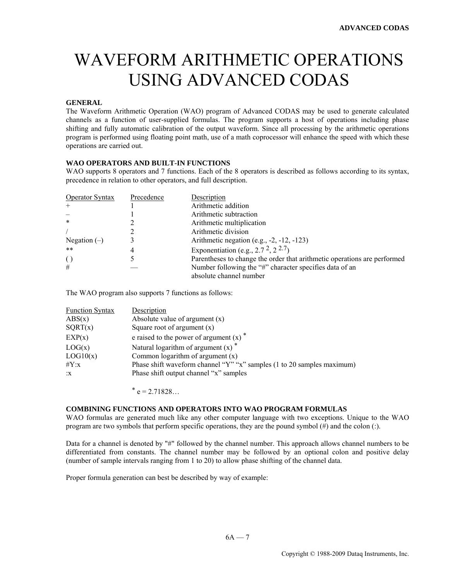# WAVEFORM ARITHMETIC OPERATIONS USING ADVANCED CODAS

# **GENERAL**

The Waveform Arithmetic Operation (WAO) program of Advanced CODAS may be used to generate calculated channels as a function of user-supplied formulas. The program supports a host of operations including phase shifting and fully automatic calibration of the output waveform. Since all processing by the arithmetic operations program is performed using floating point math, use of a math coprocessor will enhance the speed with which these operations are carried out.

# **WAO OPERATORS AND BUILT-IN FUNCTIONS**

WAO supports 8 operators and 7 functions. Each of the 8 operators is described as follows according to its syntax, precedence in relation to other operators, and full description.

| <b>Operator Syntax</b> | Precedence | Description                                                              |
|------------------------|------------|--------------------------------------------------------------------------|
| $^{+}$                 |            | Arithmetic addition                                                      |
|                        |            | Arithmetic subtraction                                                   |
| $\ast$                 |            | Arithmetic multiplication                                                |
|                        |            | Arithmetic division                                                      |
| Negation $(-)$         |            | Arithmetic negation (e.g., $-2$ , $-12$ , $-123$ )                       |
| $***$                  | 4          | Exponentiation (e.g., 2.7 <sup>2</sup> , 2 <sup>2.7</sup> )              |
| $\left( \right)$       |            | Parentheses to change the order that arithmetic operations are performed |
| #                      |            | Number following the "#" character specifies data of an                  |
|                        |            | absolute channel number                                                  |

The WAO program also supports 7 functions as follows:

| <b>Function Syntax</b> | Description                                                                |
|------------------------|----------------------------------------------------------------------------|
| ABS(x)                 | Absolute value of argument $(x)$                                           |
| SQRT(x)                | Square root of argument $(x)$                                              |
| EXP(x)                 | e raised to the power of argument $(x)$ <sup>*</sup>                       |
| LOG(x)                 | Natural logarithm of argument $(x)$ <sup>*</sup>                           |
| LOG10(x)               | Common logarithm of argument $(x)$                                         |
| $\#Y:x$                | Phase shift waveform channel " $Y$ " "x" samples (1 to 20 samples maximum) |
| X                      | Phase shift output channel "x" samples                                     |

 $*$  e = 2.71828...

# **COMBINING FUNCTIONS AND OPERATORS INTO WAO PROGRAM FORMULAS**

WAO formulas are generated much like any other computer language with two exceptions. Unique to the WAO program are two symbols that perform specific operations, they are the pound symbol (#) and the colon (:).

Data for a channel is denoted by "#" followed by the channel number. This approach allows channel numbers to be differentiated from constants. The channel number may be followed by an optional colon and positive delay (number of sample intervals ranging from 1 to 20) to allow phase shifting of the channel data.

Proper formula generation can best be described by way of example: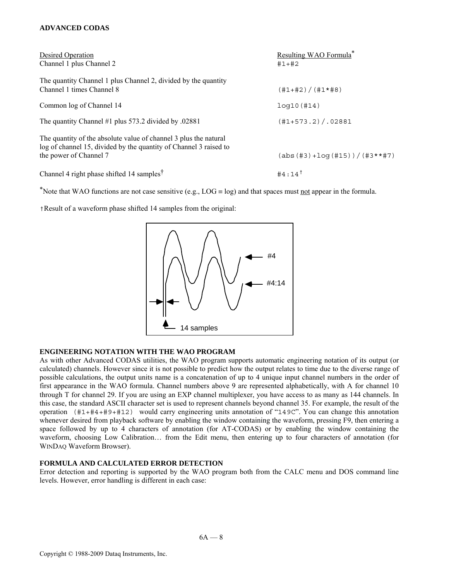# **ADVANCED CODAS**

| Desired Operation<br>Channel 1 plus Channel 2                                                                                                                   | Resulting WAO Formula <sup>*</sup><br>$#1+#2$ |
|-----------------------------------------------------------------------------------------------------------------------------------------------------------------|-----------------------------------------------|
| The quantity Channel 1 plus Channel 2, divided by the quantity<br>Channel 1 times Channel 8                                                                     | (#1+#2)/(#1*#8)                               |
| Common log of Channel 14                                                                                                                                        | log10(H14)                                    |
| The quantity Channel #1 plus 573.2 divided by .02881                                                                                                            | $(H1+573.2)/.02881$                           |
| The quantity of the absolute value of channel 3 plus the natural<br>log of channel 15, divided by the quantity of Channel 3 raised to<br>the power of Channel 7 | $(abs (#3) + log (#15)) / (#3**#7)$           |
| Channel 4 right phase shifted 14 samples <sup>†</sup>                                                                                                           | $#4:14$ <sup>†</sup>                          |

\*Note that WAO functions are not case sensitive (e.g., LOG  $\equiv$  log) and that spaces must not appear in the formula.

†Result of a waveform phase shifted 14 samples from the original:



# **ENGINEERING NOTATION WITH THE WAO PROGRAM**

As with other Advanced CODAS utilities, the WAO program supports automatic engineering notation of its output (or calculated) channels. However since it is not possible to predict how the output relates to time due to the diverse range of possible calculations, the output units name is a concatenation of up to 4 unique input channel numbers in the order of first appearance in the WAO formula. Channel numbers above 9 are represented alphabetically, with A for channel 10 through T for channel 29. If you are using an EXP channel multiplexer, you have access to as many as 144 channels. In this case, the standard ASCII character set is used to represent channels beyond channel 35. For example, the result of the operation (#1+#4+#9+#12) would carry engineering units annotation of "149C". You can change this annotation whenever desired from playback software by enabling the window containing the waveform, pressing F9, then entering a space followed by up to 4 characters of annotation (for AT-CODAS) or by enabling the window containing the waveform, choosing Low Calibration… from the Edit menu, then entering up to four characters of annotation (for WINDAQ Waveform Browser).

# **FORMULA AND CALCULATED ERROR DETECTION**

Error detection and reporting is supported by the WAO program both from the CALC menu and DOS command line levels. However, error handling is different in each case: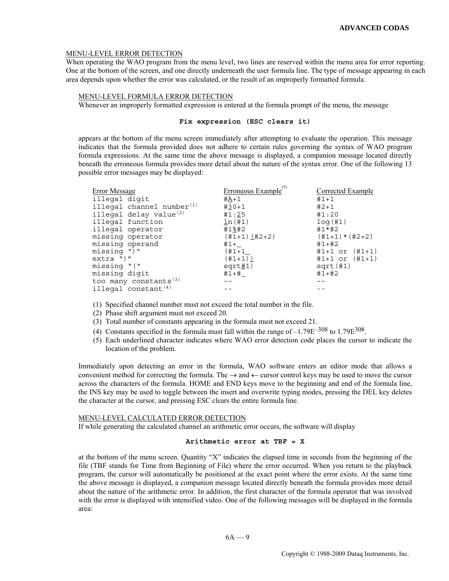#### MENU-LEVEL ERROR DETECTION

When operating the WAO program from the menu level, two lines are reserved within the menu area for error reporting. One at the bottom of the screen, and one directly underneath the user formula line. The type of message appearing in each area depends upon whether the error was calculated, or the result of an improperly formatted formula.

#### MENU-LEVEL FORMULA ERROR DETECTION

Whenever an improperly formatted expression is entered at the formula prompt of the menu, the message

#### **Fix expression (ESC clears it)**

appears at the bottom of the menu screen immediately after attempting to evaluate the operation. This message indicates that the formula provided does not adhere to certain rules governing the syntax of WAO program formula expressions. At the same time the above message is displayed, a companion message located directly beneath the erroneous formula provides more detail about the nature of the syntax error. One of the following 13 possible error messages may be displayed:

| Error Message                      | <u>Erroneous Example</u> <sup>(5)</sup> | Corrected Example  |
|------------------------------------|-----------------------------------------|--------------------|
| illegal digit                      | $#A+1$                                  | $#1+1$             |
| illegal channel number $(1)$       | $#30+1$                                 | $#2+1$             |
| illegal delay value <sup>(2)</sup> | #1:25                                   | #1:20              |
| illegal function                   | ln(H1)                                  | log(H1)            |
| illegal operator                   | #1%#2                                   | $#1*#2$            |
| missing operator                   | $(#1+1)$ $(#2+2)$                       | $(\#1+1)*(\#2+2)$  |
| missing operand                    | #1+                                     | $\#1 + \#2$        |
| $missing'$ "                       | $(+1 + 1)$                              | $#1+1$ or $(H1+1)$ |
| $extra'$ ")"                       | $(+1+1)$ )                              | $#1+1$ or $(H1+1)$ |
| missing "("                        | sqrt#1)                                 | sqrt(11)           |
| missing digit                      | #1+#                                    | $\#1+\#2$          |
| too many constants <sup>(3)</sup>  |                                         |                    |
| illegal constant $(4)$             |                                         |                    |

(1) Specified channel number must not exceed the total number in the file.

- (2) Phase shift argument must not exceed 20.
- (3) Total number of constants appearing in the formula must not exceed 21.
- (4) Constants specified in the formula must fall within the range of  $-1.79E^{-308}$  to  $1.79E^{308}$ .
- (5) Each underlined character indicates where WAO error detection code places the cursor to indicate the location of the problem.

Immediately upon detecting an error in the formula, WAO software enters an editor mode that allows a convenient method for correcting the formula. The  $\rightarrow$  and  $\leftarrow$  cursor control keys may be used to move the cursor across the characters of the formula. HOME and END keys move to the beginning and end of the formula line, the INS key may be used to toggle between the insert and overwrite typing modes, pressing the DEL key deletes the character at the cursor, and pressing ESC clears the entire formula line.

#### MENU-LEVEL CALCULATED ERROR DETECTION

If while generating the calculated channel an arithmetic error occurs, the software will display

#### **Arithmetic error at TBF = X**

at the bottom of the menu screen. Quantity "X" indicates the elapsed time in seconds from the beginning of the file (TBF stands for Time from Beginning of File) where the error occurred. When you return to the playback program, the cursor will automatically be positioned at the exact point where the error exists. At the same time the above message is displayed, a companion message located directly beneath the formula provides more detail about the nature of the arithmetic error. In addition, the first character of the formula operator that was involved with the error is displayed with intensified video. One of the following messages will be displayed in the formula area: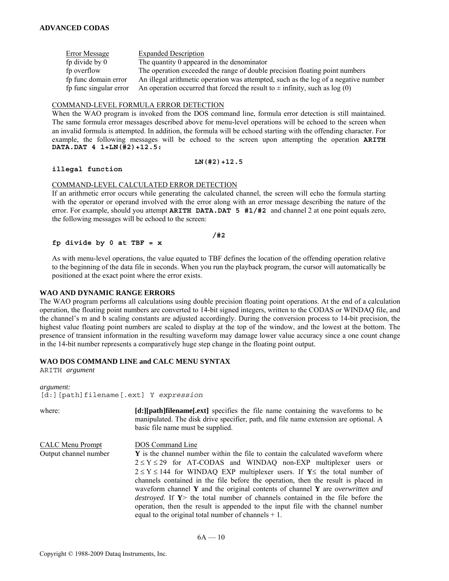Error Message Expanded Description fp divide by 0 The quantity 0 appeared in the denominator fp overflow The operation exceeded the range of double precision floating point numbers fp func domain error An illegal arithmetic operation was attempted, such as the log of a negative number fp func singular error An operation occurred that forced the result to  $\pm$  infinity, such as log (0)

# COMMAND-LEVEL FORMULA ERROR DETECTION

When the WAO program is invoked from the DOS command line, formula error detection is still maintained. The same formula error messages described above for menu-level operations will be echoed to the screen when an invalid formula is attempted. In addition, the formula will be echoed starting with the offending character. For example, the following messages will be echoed to the screen upon attempting the operation **ARITH DATA.DAT 4 1+LN(#2)+12.5:** 

#### **illegal function**

#### **LN(#2)+12.5**

#### COMMAND-LEVEL CALCULATED ERROR DETECTION

If an arithmetic error occurs while generating the calculated channel, the screen will echo the formula starting with the operator or operand involved with the error along with an error message describing the nature of the error. For example, should you attempt **ARITH DATA.DAT 5 #1/#2** and channel 2 at one point equals zero, the following messages will be echoed to the screen:

#### **/#2**

### **fp divide by 0 at TBF = x**

As with menu-level operations, the value equated to TBF defines the location of the offending operation relative to the beginning of the data file in seconds. When you run the playback program, the cursor will automatically be positioned at the exact point where the error exists.

#### **WAO AND DYNAMIC RANGE ERRORS**

The WAO program performs all calculations using double precision floating point operations. At the end of a calculation operation, the floating point numbers are converted to 14-bit signed integers, written to the CODAS or WINDAQ file, and the channel's m and b scaling constants are adjusted accordingly. During the conversion process to 14-bit precision, the highest value floating point numbers are scaled to display at the top of the window, and the lowest at the bottom. The presence of transient information in the resulting waveform may damage lower value accuracy since a one count change in the 14-bit number represents a comparatively huge step change in the floating point output.

# **WAO DOS COMMAND LINE and CALC MENU SYNTAX**

ARITH *argument* 

*argument:*  [d:][path]filename[.ext] Y *expression* 

| where:                                    | [d:][path]filename[.ext] specifies the file name containing the waveforms to be<br>manipulated. The disk drive specifier, path, and file name extension are optional. A<br>basic file name must be supplied.                                                                                                                                                                                                                                                                                                                                                                                                                                                                                           |
|-------------------------------------------|--------------------------------------------------------------------------------------------------------------------------------------------------------------------------------------------------------------------------------------------------------------------------------------------------------------------------------------------------------------------------------------------------------------------------------------------------------------------------------------------------------------------------------------------------------------------------------------------------------------------------------------------------------------------------------------------------------|
| CALC Menu Prompt<br>Output channel number | <b>DOS</b> Command Line<br><b>Y</b> is the channel number within the file to contain the calculated waveform where<br>$2 \le Y \le 29$ for AT-CODAS and WINDAQ non-EXP multiplexer users or<br>$2 \le Y \le 144$ for WINDAQ EXP multiplexer users. If Y is the total number of<br>channels contained in the file before the operation, then the result is placed in<br>waveform channel $Y$ and the original contents of channel $Y$ are <i>overwritten and</i><br><i>destroyed.</i> If $Y$ the total number of channels contained in the file before the<br>operation, then the result is appended to the input file with the channel number<br>equal to the original total number of channels $+1$ . |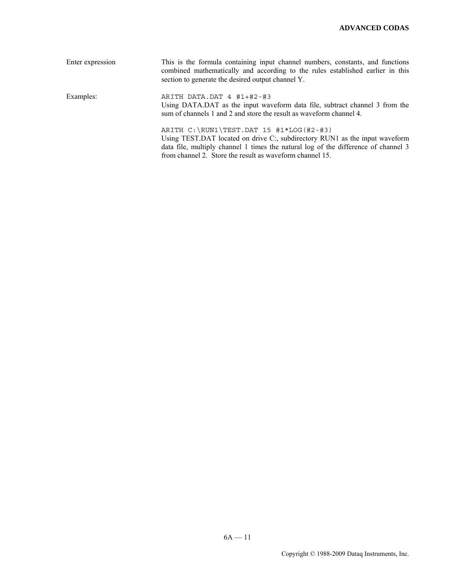| Enter expression | This is the formula containing input channel numbers, constants, and functions<br>combined mathematically and according to the rules established earlier in this<br>section to generate the desired output channel Y.                                                      |
|------------------|----------------------------------------------------------------------------------------------------------------------------------------------------------------------------------------------------------------------------------------------------------------------------|
| Examples:        | ARITH DATA.DAT 4 #1+#2-#3<br>Using DATA.DAT as the input waveform data file, subtract channel 3 from the<br>sum of channels 1 and 2 and store the result as waveform channel 4.                                                                                            |
|                  | ARITH $C:\RUN1\TEST.DAT 15 #1*LOG(H2-#3)$<br>Using TEST.DAT located on drive C:, subdirectory RUN1 as the input waveform<br>data file, multiply channel 1 times the natural log of the difference of channel 3<br>from channel 2. Store the result as waveform channel 15. |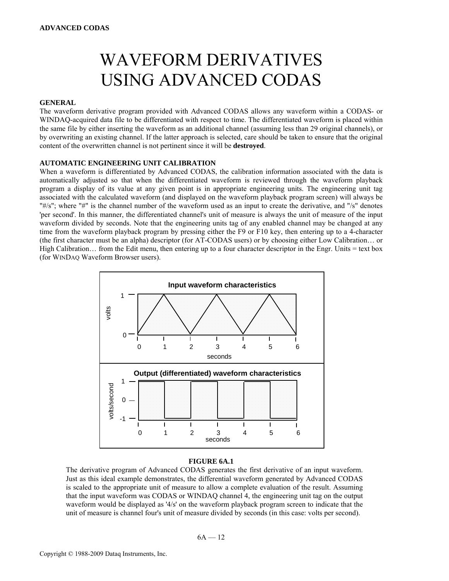# WAVEFORM DERIVATIVES USING ADVANCED CODAS

# **GENERAL**

The waveform derivative program provided with Advanced CODAS allows any waveform within a CODAS- or WINDAQ-acquired data file to be differentiated with respect to time. The differentiated waveform is placed within the same file by either inserting the waveform as an additional channel (assuming less than 29 original channels), or by overwriting an existing channel. If the latter approach is selected, care should be taken to ensure that the original content of the overwritten channel is not pertinent since it will be **destroyed**.

# **AUTOMATIC ENGINEERING UNIT CALIBRATION**

When a waveform is differentiated by Advanced CODAS, the calibration information associated with the data is automatically adjusted so that when the differentiated waveform is reviewed through the waveform playback program a display of its value at any given point is in appropriate engineering units. The engineering unit tag associated with the calculated waveform (and displayed on the waveform playback program screen) will always be "#/s"; where "#" is the channel number of the waveform used as an input to create the derivative, and "/s" denotes 'per second'. In this manner, the differentiated channel's unit of measure is always the unit of measure of the input waveform divided by seconds. Note that the engineering units tag of any enabled channel may be changed at any time from the waveform playback program by pressing either the F9 or F10 key, then entering up to a 4-character (the first character must be an alpha) descriptor (for AT-CODAS users) or by choosing either Low Calibration… or High Calibration… from the Edit menu, then entering up to a four character descriptor in the Engr. Units = text box (for WINDAQ Waveform Browser users).



#### **FIGURE 6A.1**

The derivative program of Advanced CODAS generates the first derivative of an input waveform. Just as this ideal example demonstrates, the differential waveform generated by Advanced CODAS is scaled to the appropriate unit of measure to allow a complete evaluation of the result. Assuming that the input waveform was CODAS or WINDAQ channel 4, the engineering unit tag on the output waveform would be displayed as '4/s' on the waveform playback program screen to indicate that the unit of measure is channel four's unit of measure divided by seconds (in this case: volts per second).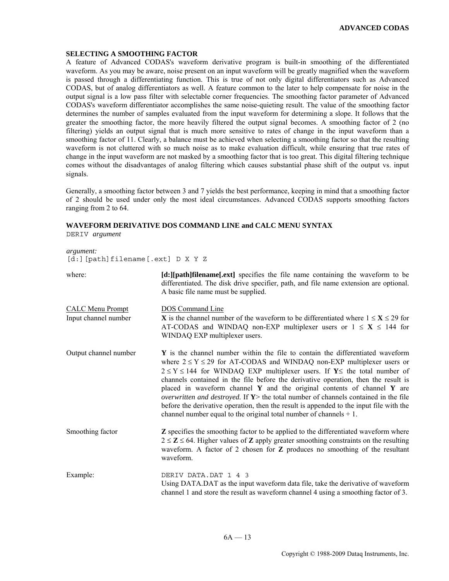#### **SELECTING A SMOOTHING FACTOR**

A feature of Advanced CODAS's waveform derivative program is built-in smoothing of the differentiated waveform. As you may be aware, noise present on an input waveform will be greatly magnified when the waveform is passed through a differentiating function. This is true of not only digital differentiators such as Advanced CODAS, but of analog differentiators as well. A feature common to the later to help compensate for noise in the output signal is a low pass filter with selectable corner frequencies. The smoothing factor parameter of Advanced CODAS's waveform differentiator accomplishes the same noise-quieting result. The value of the smoothing factor determines the number of samples evaluated from the input waveform for determining a slope. It follows that the greater the smoothing factor, the more heavily filtered the output signal becomes. A smoothing factor of 2 (no filtering) yields an output signal that is much more sensitive to rates of change in the input waveform than a smoothing factor of 11. Clearly, a balance must be achieved when selecting a smoothing factor so that the resulting waveform is not cluttered with so much noise as to make evaluation difficult, while ensuring that true rates of change in the input waveform are not masked by a smoothing factor that is too great. This digital filtering technique comes without the disadvantages of analog filtering which causes substantial phase shift of the output vs. input signals.

Generally, a smoothing factor between 3 and 7 yields the best performance, keeping in mind that a smoothing factor of 2 should be used under only the most ideal circumstances. Advanced CODAS supports smoothing factors ranging from 2 to 64.

#### **WAVEFORM DERIVATIVE DOS COMMAND LINE and CALC MENU SYNTAX**

DERIV *argument* 

*argument:*  [d:][path]filename[.ext] D X Y Z

| where:                                          | [d:][path]filename[.ext] specifies the file name containing the waveform to be<br>differentiated. The disk drive specifier, path, and file name extension are optional.<br>A basic file name must be supplied.                                                                                                                                                                                                                                                                                                                                                                                                                                                                  |
|-------------------------------------------------|---------------------------------------------------------------------------------------------------------------------------------------------------------------------------------------------------------------------------------------------------------------------------------------------------------------------------------------------------------------------------------------------------------------------------------------------------------------------------------------------------------------------------------------------------------------------------------------------------------------------------------------------------------------------------------|
| <b>CALC Menu Prompt</b><br>Input channel number | <b>DOS</b> Command Line<br><b>X</b> is the channel number of the waveform to be differentiated where $1 \le X \le 29$ for<br>AT-CODAS and WINDAQ non-EXP multiplexer users or $1 \le X \le 144$ for<br>WINDAQ EXP multiplexer users.                                                                                                                                                                                                                                                                                                                                                                                                                                            |
| Output channel number                           | Y is the channel number within the file to contain the differentiated waveform<br>where $2 \le Y \le 29$ for AT-CODAS and WINDAQ non-EXP multiplexer users or<br>$2 \le Y \le 144$ for WINDAQ EXP multiplexer users. If Y i the total number of<br>channels contained in the file before the derivative operation, then the result is<br>placed in waveform channel $Y$ and the original contents of channel $Y$ are<br>overwritten and destroyed. If $Y$ the total number of channels contained in the file<br>before the derivative operation, then the result is appended to the input file with the<br>channel number equal to the original total number of channels $+1$ . |
| Smoothing factor                                | <b>Z</b> specifies the smoothing factor to be applied to the differentiated waveform where<br>$2 \le Z \le 64$ . Higher values of <b>Z</b> apply greater smoothing constraints on the resulting<br>waveform. A factor of 2 chosen for Z produces no smoothing of the resultant<br>waveform.                                                                                                                                                                                                                                                                                                                                                                                     |
| Example:                                        | DERIV DATA.DAT 1 4 3<br>Using DATA.DAT as the input waveform data file, take the derivative of waveform<br>channel 1 and store the result as waveform channel 4 using a smoothing factor of 3.                                                                                                                                                                                                                                                                                                                                                                                                                                                                                  |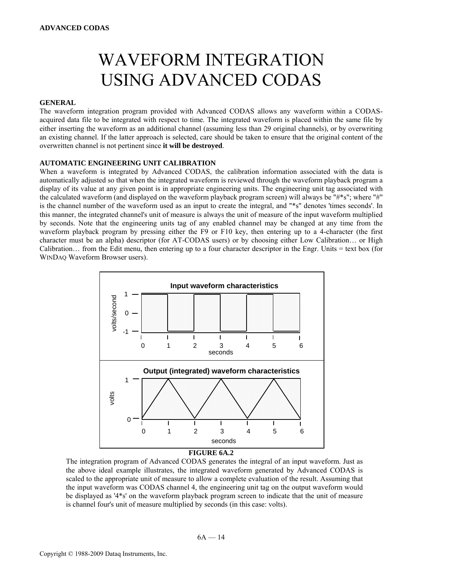# WAVEFORM INTEGRATION USING ADVANCED CODAS

# **GENERAL**

The waveform integration program provided with Advanced CODAS allows any waveform within a CODASacquired data file to be integrated with respect to time. The integrated waveform is placed within the same file by either inserting the waveform as an additional channel (assuming less than 29 original channels), or by overwriting an existing channel. If the latter approach is selected, care should be taken to ensure that the original content of the overwritten channel is not pertinent since **it will be destroyed**.

#### **AUTOMATIC ENGINEERING UNIT CALIBRATION**

When a waveform is integrated by Advanced CODAS, the calibration information associated with the data is automatically adjusted so that when the integrated waveform is reviewed through the waveform playback program a display of its value at any given point is in appropriate engineering units. The engineering unit tag associated with the calculated waveform (and displayed on the waveform playback program screen) will always be "#\*s"; where "#" is the channel number of the waveform used as an input to create the integral, and "\*s" denotes 'times seconds'. In this manner, the integrated channel's unit of measure is always the unit of measure of the input waveform multiplied by seconds. Note that the engineering units tag of any enabled channel may be changed at any time from the waveform playback program by pressing either the F9 or F10 key, then entering up to a 4-character (the first character must be an alpha) descriptor (for AT-CODAS users) or by choosing either Low Calibration… or High Calibration… from the Edit menu, then entering up to a four character descriptor in the Engr. Units = text box (for WINDAQ Waveform Browser users).



#### **FIGURE 6A.2**

The integration program of Advanced CODAS generates the integral of an input waveform. Just as the above ideal example illustrates, the integrated waveform generated by Advanced CODAS is scaled to the appropriate unit of measure to allow a complete evaluation of the result. Assuming that the input waveform was CODAS channel 4, the engineering unit tag on the output waveform would be displayed as '4\*s' on the waveform playback program screen to indicate that the unit of measure is channel four's unit of measure multiplied by seconds (in this case: volts).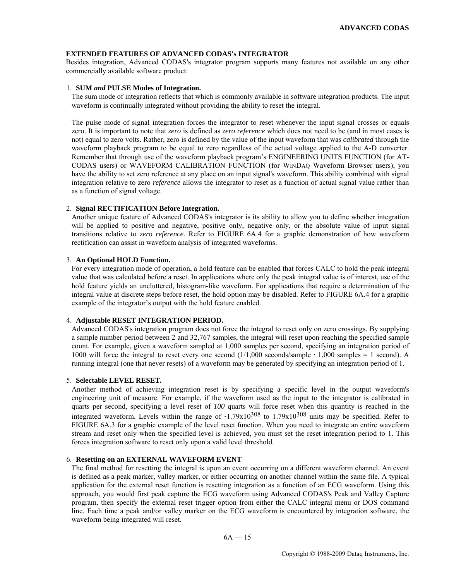### **EXTENDED FEATURES OF ADVANCED CODAS's INTEGRATOR**

Besides integration, Advanced CODAS's integrator program supports many features not available on any other commercially available software product:

#### 1. **SUM** *and* **PULSE Modes of Integration.**

 The sum mode of integration reflects that which is commonly available in software integration products. The input waveform is continually integrated without providing the ability to reset the integral.

 The pulse mode of signal integration forces the integrator to reset whenever the input signal crosses or equals zero. It is important to note that *zero* is defined as *zero reference* which does not need to be (and in most cases is not) equal to zero volts. Rather, zero is defined by the value of the input waveform that was *calibrated* through the waveform playback program to be equal to zero regardless of the actual voltage applied to the A-D converter. Remember that through use of the waveform playback program's ENGINEERING UNITS FUNCTION (for AT-CODAS users) or WAVEFORM CALIBRATION FUNCTION (for WINDAQ Waveform Browser users), you have the ability to set zero reference at any place on an input signal's waveform. This ability combined with signal integration relative to zero *reference* allows the integrator to reset as a function of actual signal value rather than as a function of signal voltage.

#### 2. **Signal RECTIFICATION Before Integration.**

 Another unique feature of Advanced CODAS's integrator is its ability to allow you to define whether integration will be applied to positive and negative, positive only, negative only, or the absolute value of input signal transitions relative to *zero reference.* Refer to FIGURE 6A.4 for a graphic demonstration of how waveform rectification can assist in waveform analysis of integrated waveforms.

#### 3. **An Optional HOLD Function.**

For every integration mode of operation, a hold feature can be enabled that forces CALC to hold the peak integral value that was calculated before a reset. In applications where only the peak integral value is of interest, use of the hold feature yields an uncluttered, histogram-like waveform. For applications that require a determination of the integral value at discrete steps before reset, the hold option may be disabled. Refer to FIGURE 6A.4 for a graphic example of the integrator's output with the hold feature enabled.

#### 4. **Adjustable RESET INTEGRATION PERIOD.**

Advanced CODAS's integration program does not force the integral to reset only on zero crossings. By supplying a sample number period between 2 and 32,767 samples, the integral will reset upon reaching the specified sample count. For example, given a waveform sampled at 1,000 samples per second, specifying an integration period of 1000 will force the integral to reset every one second (1/1,000 seconds/sample **·** 1,000 samples = 1 second). A running integral (one that never resets) of a waveform may be generated by specifying an integration period of 1.

#### 5. **Selectable LEVEL RESET.**

Another method of achieving integration reset is by specifying a specific level in the output waveform's engineering unit of measure. For example, if the waveform used as the input to the integrator is calibrated in quarts per second, specifying a level reset of *100* quarts will force reset when this quantity is reached in the integrated waveform. Levels within the range of  $-1.79x10^{308}$  to  $1.79x10^{308}$  units may be specified. Refer to FIGURE 6A.3 for a graphic example of the level reset function. When you need to integrate an entire waveform stream and reset only when the specified level is achieved, you must set the reset integration period to 1. This forces integration software to reset only upon a valid level threshold.

#### 6. **Resetting on an EXTERNAL WAVEFORM EVENT**

 The final method for resetting the integral is upon an event occurring on a different waveform channel. An event is defined as a peak marker, valley marker, or either occurring on another channel within the same file. A typical application for the external reset function is resetting integration as a function of an ECG waveform. Using this approach, you would first peak capture the ECG waveform using Advanced CODAS's Peak and Valley Capture program, then specify the external reset trigger option from either the CALC integral menu or DOS command line. Each time a peak and/or valley marker on the ECG waveform is encountered by integration software, the waveform being integrated will reset.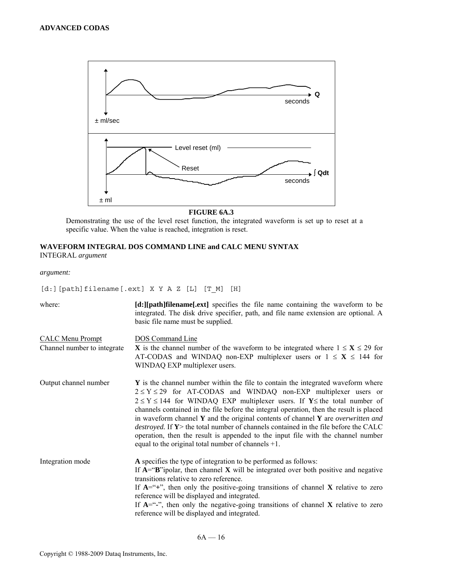

# **FIGURE 6A.3**

Demonstrating the use of the level reset function, the integrated waveform is set up to reset at a specific value. When the value is reached, integration is reset.

# **WAVEFORM INTEGRAL DOS COMMAND LINE and CALC MENU SYNTAX**  INTEGRAL *argument*

*argument:* 

[d:][path]filename[.ext] X Y A Z [L] [T\_M] [H]

| where:                                                 | [d:][path]filename[.ext] specifies the file name containing the waveform to be<br>integrated. The disk drive specifier, path, and file name extension are optional. A<br>basic file name must be supplied.                                                                                                                                                                                                                                                                                                                                                                                                                                                                              |
|--------------------------------------------------------|-----------------------------------------------------------------------------------------------------------------------------------------------------------------------------------------------------------------------------------------------------------------------------------------------------------------------------------------------------------------------------------------------------------------------------------------------------------------------------------------------------------------------------------------------------------------------------------------------------------------------------------------------------------------------------------------|
| <b>CALC Menu Prompt</b><br>Channel number to integrate | DOS Command Line<br><b>X</b> is the channel number of the waveform to be integrated where $1 \le X \le 29$ for<br>AT-CODAS and WINDAQ non-EXP multiplexer users or $1 \le X \le 144$ for<br>WINDAQ EXP multiplexer users.                                                                                                                                                                                                                                                                                                                                                                                                                                                               |
| Output channel number                                  | Y is the channel number within the file to contain the integrated waveform where<br>$2 \le Y \le 29$ for AT-CODAS and WINDAQ non-EXP multiplexer users or<br>$2 \le Y \le 144$ for WINDAQ EXP multiplexer users. If Y interval the total number of<br>channels contained in the file before the integral operation, then the result is placed<br>in waveform channel $Y$ and the original contents of channel $Y$ are <i>overwritten and</i><br><i>destroyed.</i> If $Y$ he total number of channels contained in the file before the CALC<br>operation, then the result is appended to the input file with the channel number<br>equal to the original total number of channels $+1$ . |
| Integration mode                                       | A specifies the type of integration to be performed as follows:<br>If $A = B$ "ipolar, then channel X will be integrated over both positive and negative<br>transitions relative to zero reference.<br>If $A = - +$ ", then only the positive-going transitions of channel X relative to zero<br>reference will be displayed and integrated.<br>If $A = -\cdot$ , then only the negative-going transitions of channel X relative to zero<br>reference will be displayed and integrated.                                                                                                                                                                                                 |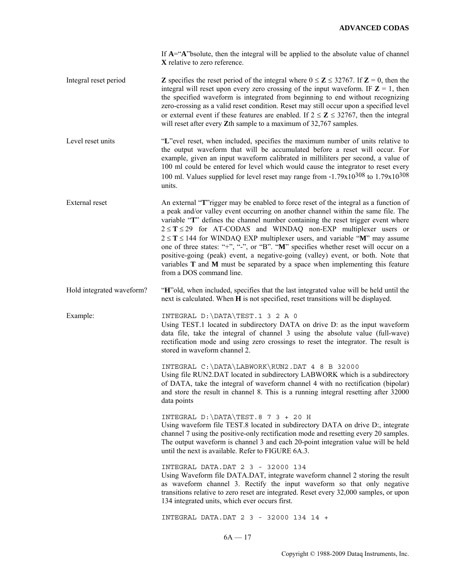If **A**="**A**"bsolute, then the integral will be applied to the absolute value of channel **X** relative to zero reference.

Integral reset period **Z** specifies the reset period of the integral where  $0 \le Z \le 32767$ . If  $\mathbb{Z} = 0$ , then the integral will reset upon every zero crossing of the input waveform. IF  $\mathbf{Z} = 1$ , then the specified waveform is integrated from beginning to end without recognizing zero-crossing as a valid reset condition. Reset may still occur upon a specified level or external event if these features are enabled. If  $2 \le Z \le 32767$ , then the integral will reset after every **Z**th sample to a maximum of 32,767 samples.

Level reset units "L"evel reset, when included, specifies the maximum number of units relative to the output waveform that will be accumulated before a reset will occur. For example, given an input waveform calibrated in milliliters per second, a value of 100 ml could be entered for level which would cause the integrator to reset every 100 ml. Values supplied for level reset may range from  $-1.79 \times 10^{308}$  to  $1.79 \times 10^{308}$ units.

External reset An external "**T**"rigger may be enabled to force reset of the integral as a function of a peak and/or valley event occurring on another channel within the same file. The variable "**T**" defines the channel number containing the reset trigger event where 2 ≤ **T** ≤ 29 for AT-CODAS and WINDAQ non-EXP multiplexer users or  $2 \leq T \leq 144$  for WINDAQ EXP multiplexer users, and variable "M" may assume one of three states: "+", "-", or "B". "**M**" specifies whether reset will occur on a positive-going (peak) event, a negative-going (valley) event, or both. Note that variables **T** and **M** must be separated by a space when implementing this feature from a DOS command line.

Hold integrated waveform? "**H**"old, when included, specifies that the last integrated value will be held until the next is calculated. When **H** is not specified, reset transitions will be displayed.

Example: INTEGRAL D:\DATA\TEST.1 3 2 A 0

Using TEST.1 located in subdirectory DATA on drive D: as the input waveform data file, take the integral of channel 3 using the absolute value (full-wave) rectification mode and using zero crossings to reset the integrator. The result is stored in waveform channel 2.

INTEGRAL C:\DATA\LABWORK\RUN2.DAT 4 8 B 32000 Using file RUN2.DAT located in subdirectory LABWORK which is a subdirectory of DATA, take the integral of waveform channel 4 with no rectification (bipolar) and store the result in channel 8. This is a running integral resetting after 32000 data points

INTEGRAL D:\DATA\TEST.8 7 3 + 20 H Using waveform file TEST.8 located in subdirectory DATA on drive D:, integrate channel 7 using the positive-only rectification mode and resetting every 20 samples. The output waveform is channel 3 and each 20-point integration value will be held until the next is available. Refer to FIGURE 6A.3.

INTEGRAL DATA.DAT 2 3 - 32000 134 Using Waveform file DATA.DAT, integrate waveform channel 2 storing the result as waveform channel 3. Rectify the input waveform so that only negative transitions relative to zero reset are integrated. Reset every 32,000 samples, or upon 134 integrated units, which ever occurs first.

INTEGRAL DATA.DAT 2 3 - 32000 134 14 +

 $6A - 17$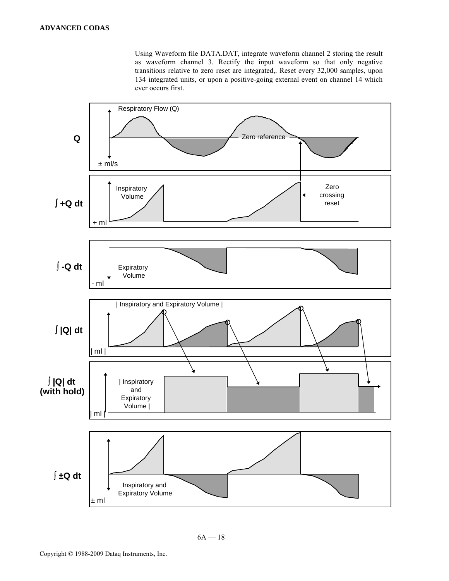Using Waveform file DATA.DAT, integrate waveform channel 2 storing the result as waveform channel 3. Rectify the input waveform so that only negative transitions relative to zero reset are integrated,. Reset every 32,000 samples, upon 134 integrated units, or upon a positive-going external event on channel 14 which ever occurs first.

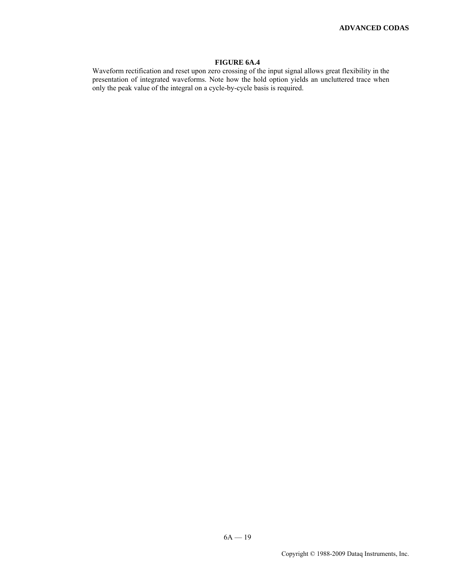#### **FIGURE 6A.4**

Waveform rectification and reset upon zero crossing of the input signal allows great flexibility in the presentation of integrated waveforms. Note how the hold option yields an uncluttered trace when only the peak value of the integral on a cycle-by-cycle basis is required.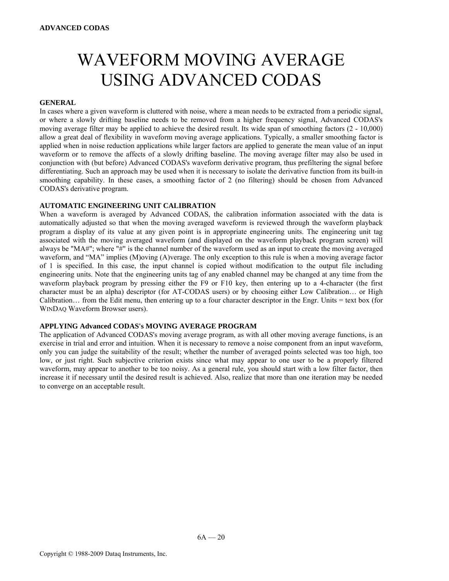# WAVEFORM MOVING AVERAGE USING ADVANCED CODAS

# **GENERAL**

In cases where a given waveform is cluttered with noise, where a mean needs to be extracted from a periodic signal, or where a slowly drifting baseline needs to be removed from a higher frequency signal, Advanced CODAS's moving average filter may be applied to achieve the desired result. Its wide span of smoothing factors (2 - 10,000) allow a great deal of flexibility in waveform moving average applications. Typically, a smaller smoothing factor is applied when in noise reduction applications while larger factors are applied to generate the mean value of an input waveform or to remove the affects of a slowly drifting baseline. The moving average filter may also be used in conjunction with (but before) Advanced CODAS's waveform derivative program, thus prefiltering the signal before differentiating. Such an approach may be used when it is necessary to isolate the derivative function from its built-in smoothing capability. In these cases, a smoothing factor of 2 (no filtering) should be chosen from Advanced CODAS's derivative program.

#### **AUTOMATIC ENGINEERING UNIT CALIBRATION**

When a waveform is averaged by Advanced CODAS, the calibration information associated with the data is automatically adjusted so that when the moving averaged waveform is reviewed through the waveform playback program a display of its value at any given point is in appropriate engineering units. The engineering unit tag associated with the moving averaged waveform (and displayed on the waveform playback program screen) will always be "MA#"; where "#" is the channel number of the waveform used as an input to create the moving averaged waveform, and "MA" implies (M)oving (A)verage. The only exception to this rule is when a moving average factor of 1 is specified. In this case, the input channel is copied without modification to the output file including engineering units. Note that the engineering units tag of any enabled channel may be changed at any time from the waveform playback program by pressing either the F9 or F10 key, then entering up to a 4-character (the first character must be an alpha) descriptor (for AT-CODAS users) or by choosing either Low Calibration… or High Calibration… from the Edit menu, then entering up to a four character descriptor in the Engr. Units = text box (for WINDAQ Waveform Browser users).

#### **APPLYING Advanced CODAS's MOVING AVERAGE PROGRAM**

The application of Advanced CODAS's moving average program, as with all other moving average functions, is an exercise in trial and error and intuition. When it is necessary to remove a noise component from an input waveform, only you can judge the suitability of the result; whether the number of averaged points selected was too high, too low, or just right. Such subjective criterion exists since what may appear to one user to be a properly filtered waveform, may appear to another to be too noisy. As a general rule, you should start with a low filter factor, then increase it if necessary until the desired result is achieved. Also, realize that more than one iteration may be needed to converge on an acceptable result.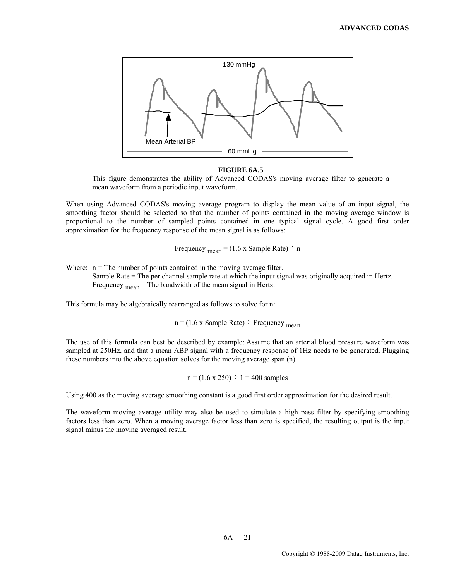

#### **FIGURE 6A.5**

This figure demonstrates the ability of Advanced CODAS's moving average filter to generate a mean waveform from a periodic input waveform.

When using Advanced CODAS's moving average program to display the mean value of an input signal, the smoothing factor should be selected so that the number of points contained in the moving average window is proportional to the number of sampled points contained in one typical signal cycle. A good first order approximation for the frequency response of the mean signal is as follows:

Frequency  $_{\text{mean}} = (1.6 \times \text{Sample Rate}) \div n$ 

Where:  $n =$ The number of points contained in the moving average filter.

 Sample Rate = The per channel sample rate at which the input signal was originally acquired in Hertz. Frequency  $_{\text{mean}}$  = The bandwidth of the mean signal in Hertz.

This formula may be algebraically rearranged as follows to solve for n:

 $n = (1.6 \times \text{Sample Rate}) \div \text{Frequency}_{mean}$ 

The use of this formula can best be described by example: Assume that an arterial blood pressure waveform was sampled at 250Hz, and that a mean ABP signal with a frequency response of 1Hz needs to be generated. Plugging these numbers into the above equation solves for the moving average span (n).

 $n = (1.6 \times 250) \div 1 = 400$  samples

Using 400 as the moving average smoothing constant is a good first order approximation for the desired result.

The waveform moving average utility may also be used to simulate a high pass filter by specifying smoothing factors less than zero. When a moving average factor less than zero is specified, the resulting output is the input signal minus the moving averaged result.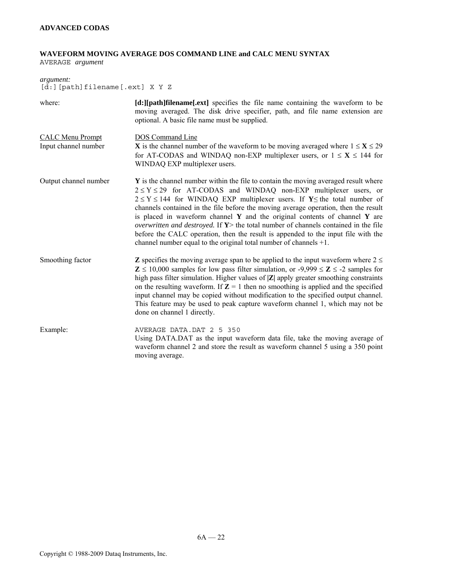# **WAVEFORM MOVING AVERAGE DOS COMMAND LINE and CALC MENU SYNTAX**

AVERAGE *argument* 

# *argument:*  [d:][path]filename[.ext] X Y Z where: **[d:][path]filename[.ext]** specifies the file name containing the waveform to be

| where:                                          | $\lceil d \cdot \rceil$ path intename $ext{.}$ specifies the file name containing the waveform to be<br>moving averaged. The disk drive specifier, path, and file name extension are<br>optional. A basic file name must be supplied.                                                                                                                                                                                                                                                                                                                                                                                                                                                |
|-------------------------------------------------|--------------------------------------------------------------------------------------------------------------------------------------------------------------------------------------------------------------------------------------------------------------------------------------------------------------------------------------------------------------------------------------------------------------------------------------------------------------------------------------------------------------------------------------------------------------------------------------------------------------------------------------------------------------------------------------|
| <b>CALC Menu Prompt</b><br>Input channel number | DOS Command Line<br><b>X</b> is the channel number of the waveform to be moving averaged where $1 \le X \le 29$<br>for AT-CODAS and WINDAQ non-EXP multiplexer users, or $1 \le X \le 144$ for<br>WINDAQ EXP multiplexer users.                                                                                                                                                                                                                                                                                                                                                                                                                                                      |
| Output channel number                           | Y is the channel number within the file to contain the moving averaged result where<br>$2 \le Y \le 29$ for AT-CODAS and WINDAQ non-EXP multiplexer users, or<br>$2 \le Y \le 144$ for WINDAQ EXP multiplexer users. If Y interval number of<br>channels contained in the file before the moving average operation, then the result<br>is placed in waveform channel $\bf{Y}$ and the original contents of channel $\bf{Y}$ are<br>overwritten and destroyed. If $Y$ the total number of channels contained in the file<br>before the CALC operation, then the result is appended to the input file with the<br>channel number equal to the original total number of channels $+1$ . |
| Smoothing factor                                | <b>Z</b> specifies the moving average span to be applied to the input waveform where $2 \le$<br>$\mathbb{Z} \le 10,000$ samples for low pass filter simulation, or -9,999 $\le \mathbb{Z} \le$ -2 samples for<br>high pass filter simulation. Higher values of  Z  apply greater smoothing constraints<br>on the resulting waveform. If $Z = 1$ then no smoothing is applied and the specified<br>input channel may be copied without modification to the specified output channel.<br>This feature may be used to peak capture waveform channel 1, which may not be<br>done on channel 1 directly.                                                                                  |
| Example:                                        | AVERAGE DATA.DAT 2 5 350<br>Using DATA.DAT as the input waveform data file, take the moving average of<br>waveform channel 2 and store the result as waveform channel 5 using a 350 point<br>moving average.                                                                                                                                                                                                                                                                                                                                                                                                                                                                         |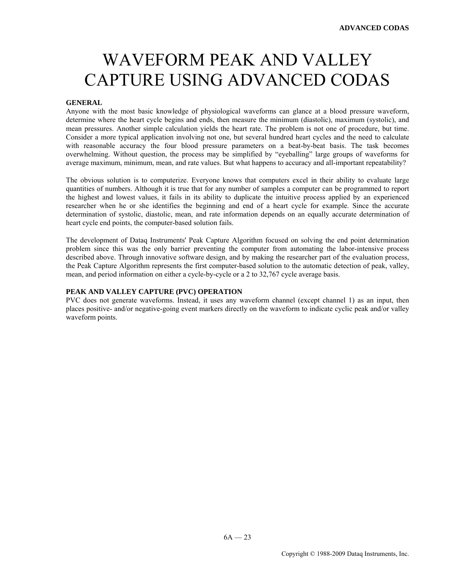# WAVEFORM PEAK AND VALLEY CAPTURE USING ADVANCED CODAS

#### **GENERAL**

Anyone with the most basic knowledge of physiological waveforms can glance at a blood pressure waveform, determine where the heart cycle begins and ends, then measure the minimum (diastolic), maximum (systolic), and mean pressures. Another simple calculation yields the heart rate. The problem is not one of procedure, but time. Consider a more typical application involving not one, but several hundred heart cycles and the need to calculate with reasonable accuracy the four blood pressure parameters on a beat-by-beat basis. The task becomes overwhelming. Without question, the process may be simplified by "eyeballing" large groups of waveforms for average maximum, minimum, mean, and rate values. But what happens to accuracy and all-important repeatability?

The obvious solution is to computerize. Everyone knows that computers excel in their ability to evaluate large quantities of numbers. Although it is true that for any number of samples a computer can be programmed to report the highest and lowest values, it fails in its ability to duplicate the intuitive process applied by an experienced researcher when he or she identifies the beginning and end of a heart cycle for example. Since the accurate determination of systolic, diastolic, mean, and rate information depends on an equally accurate determination of heart cycle end points, the computer-based solution fails.

The development of Dataq Instruments' Peak Capture Algorithm focused on solving the end point determination problem since this was the only barrier preventing the computer from automating the labor-intensive process described above. Through innovative software design, and by making the researcher part of the evaluation process, the Peak Capture Algorithm represents the first computer-based solution to the automatic detection of peak, valley, mean, and period information on either a cycle-by-cycle or a 2 to 32,767 cycle average basis.

#### **PEAK AND VALLEY CAPTURE (PVC) OPERATION**

PVC does not generate waveforms. Instead, it uses any waveform channel (except channel 1) as an input, then places positive- and/or negative-going event markers directly on the waveform to indicate cyclic peak and/or valley waveform points.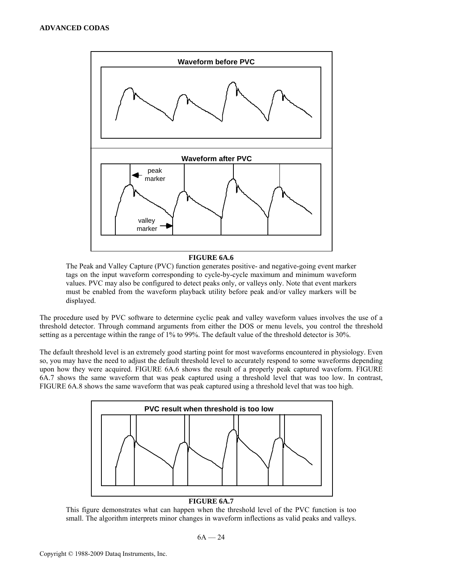

### **FIGURE 6A.6**

The Peak and Valley Capture (PVC) function generates positive- and negative-going event marker tags on the input waveform corresponding to cycle-by-cycle maximum and minimum waveform values. PVC may also be configured to detect peaks only, or valleys only. Note that event markers must be enabled from the waveform playback utility before peak and/or valley markers will be displayed.

The procedure used by PVC software to determine cyclic peak and valley waveform values involves the use of a threshold detector. Through command arguments from either the DOS or menu levels, you control the threshold setting as a percentage within the range of 1% to 99%. The default value of the threshold detector is 30%.

The default threshold level is an extremely good starting point for most waveforms encountered in physiology. Even so, you may have the need to adjust the default threshold level to accurately respond to some waveforms depending upon how they were acquired. FIGURE 6A.6 shows the result of a properly peak captured waveform. FIGURE 6A.7 shows the same waveform that was peak captured using a threshold level that was too low. In contrast, FIGURE 6A.8 shows the same waveform that was peak captured using a threshold level that was too high.



# **FIGURE 6A.7**

This figure demonstrates what can happen when the threshold level of the PVC function is too small. The algorithm interprets minor changes in waveform inflections as valid peaks and valleys.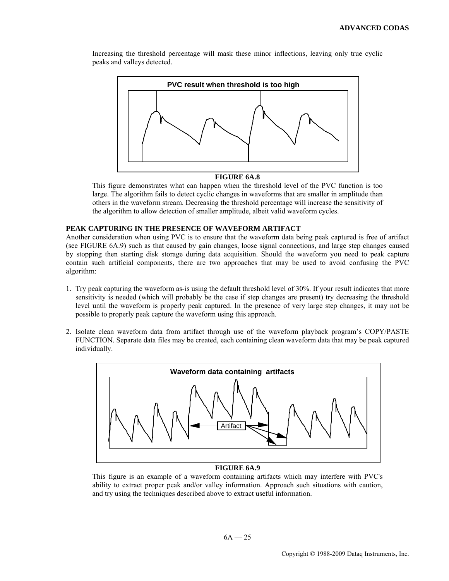Increasing the threshold percentage will mask these minor inflections, leaving only true cyclic peaks and valleys detected.



#### **FIGURE 6A.8**

This figure demonstrates what can happen when the threshold level of the PVC function is too large. The algorithm fails to detect cyclic changes in waveforms that are smaller in amplitude than others in the waveform stream. Decreasing the threshold percentage will increase the sensitivity of the algorithm to allow detection of smaller amplitude, albeit valid waveform cycles.

#### **PEAK CAPTURING IN THE PRESENCE OF WAVEFORM ARTIFACT**

Another consideration when using PVC is to ensure that the waveform data being peak captured is free of artifact (see FIGURE 6A.9) such as that caused by gain changes, loose signal connections, and large step changes caused by stopping then starting disk storage during data acquisition. Should the waveform you need to peak capture contain such artificial components, there are two approaches that may be used to avoid confusing the PVC algorithm:

- 1. Try peak capturing the waveform as-is using the default threshold level of 30%. If your result indicates that more sensitivity is needed (which will probably be the case if step changes are present) try decreasing the threshold level until the waveform is properly peak captured. In the presence of very large step changes, it may not be possible to properly peak capture the waveform using this approach.
- 2. Isolate clean waveform data from artifact through use of the waveform playback program's COPY/PASTE FUNCTION. Separate data files may be created, each containing clean waveform data that may be peak captured individually.



# **FIGURE 6A.9**

This figure is an example of a waveform containing artifacts which may interfere with PVC's ability to extract proper peak and/or valley information. Approach such situations with caution, and try using the techniques described above to extract useful information.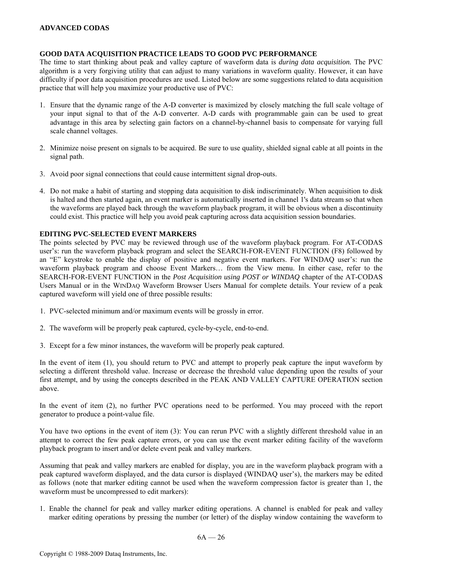#### **GOOD DATA ACQUISITION PRACTICE LEADS TO GOOD PVC PERFORMANCE**

The time to start thinking about peak and valley capture of waveform data is *during data acquisition.* The PVC algorithm is a very forgiving utility that can adjust to many variations in waveform quality. However, it can have difficulty if poor data acquisition procedures are used. Listed below are some suggestions related to data acquisition practice that will help you maximize your productive use of PVC:

- 1. Ensure that the dynamic range of the A-D converter is maximized by closely matching the full scale voltage of your input signal to that of the A-D converter. A-D cards with programmable gain can be used to great advantage in this area by selecting gain factors on a channel-by-channel basis to compensate for varying full scale channel voltages.
- 2. Minimize noise present on signals to be acquired. Be sure to use quality, shielded signal cable at all points in the signal path.
- 3. Avoid poor signal connections that could cause intermittent signal drop-outs.
- 4. Do not make a habit of starting and stopping data acquisition to disk indiscriminately. When acquisition to disk is halted and then started again, an event marker is automatically inserted in channel 1's data stream so that when the waveforms are played back through the waveform playback program, it will be obvious when a discontinuity could exist. This practice will help you avoid peak capturing across data acquisition session boundaries.

#### **EDITING PVC-SELECTED EVENT MARKERS**

The points selected by PVC may be reviewed through use of the waveform playback program. For AT-CODAS user's: run the waveform playback program and select the SEARCH-FOR-EVENT FUNCTION (F8) followed by an "E" keystroke to enable the display of positive and negative event markers. For WINDAQ user's: run the waveform playback program and choose Event Markers… from the View menu. In either case, refer to the SEARCH-FOR-EVENT FUNCTION in the *Post Acquisition using POST or WINDAQ* chapter of the AT-CODAS Users Manual or in the WINDAQ Waveform Browser Users Manual for complete details. Your review of a peak captured waveform will yield one of three possible results:

- 1. PVC-selected minimum and/or maximum events will be grossly in error.
- 2. The waveform will be properly peak captured, cycle-by-cycle, end-to-end.
- 3. Except for a few minor instances, the waveform will be properly peak captured.

In the event of item (1), you should return to PVC and attempt to properly peak capture the input waveform by selecting a different threshold value. Increase or decrease the threshold value depending upon the results of your first attempt, and by using the concepts described in the PEAK AND VALLEY CAPTURE OPERATION section above.

In the event of item (2), no further PVC operations need to be performed. You may proceed with the report generator to produce a point-value file.

You have two options in the event of item (3): You can rerun PVC with a slightly different threshold value in an attempt to correct the few peak capture errors, or you can use the event marker editing facility of the waveform playback program to insert and/or delete event peak and valley markers.

Assuming that peak and valley markers are enabled for display, you are in the waveform playback program with a peak captured waveform displayed, and the data cursor is displayed (WINDAQ user's), the markers may be edited as follows (note that marker editing cannot be used when the waveform compression factor is greater than 1, the waveform must be uncompressed to edit markers):

1. Enable the channel for peak and valley marker editing operations. A channel is enabled for peak and valley marker editing operations by pressing the number (or letter) of the display window containing the waveform to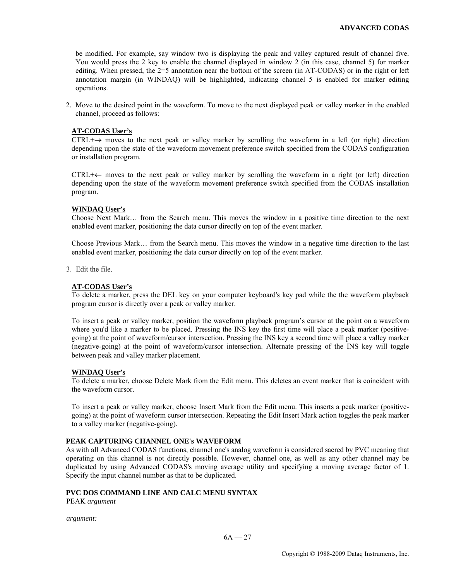be modified. For example, say window two is displaying the peak and valley captured result of channel five. You would press the 2 key to enable the channel displayed in window 2 (in this case, channel 5) for marker editing. When pressed, the 2=5 annotation near the bottom of the screen (in AT-CODAS) or in the right or left annotation margin (in WINDAQ) will be highlighted, indicating channel 5 is enabled for marker editing operations.

2. Move to the desired point in the waveform. To move to the next displayed peak or valley marker in the enabled channel, proceed as follows:

# **AT-CODAS User's**

CTRL+ $\rightarrow$  moves to the next peak or valley marker by scrolling the waveform in a left (or right) direction depending upon the state of the waveform movement preference switch specified from the CODAS configuration or installation program.

 CTRL+← moves to the next peak or valley marker by scrolling the waveform in a right (or left) direction depending upon the state of the waveform movement preference switch specified from the CODAS installation program.

#### **WINDAQ User's**

 Choose Next Mark… from the Search menu. This moves the window in a positive time direction to the next enabled event marker, positioning the data cursor directly on top of the event marker.

 Choose Previous Mark… from the Search menu. This moves the window in a negative time direction to the last enabled event marker, positioning the data cursor directly on top of the event marker.

3. Edit the file.

# **AT-CODAS User's**

 To delete a marker, press the DEL key on your computer keyboard's key pad while the the waveform playback program cursor is directly over a peak or valley marker.

 To insert a peak or valley marker, position the waveform playback program's cursor at the point on a waveform where you'd like a marker to be placed. Pressing the INS key the first time will place a peak marker (positivegoing) at the point of waveform/cursor intersection. Pressing the INS key a second time will place a valley marker (negative-going) at the point of waveform/cursor intersection. Alternate pressing of the INS key will toggle between peak and valley marker placement.

#### **WINDAQ User's**

To delete a marker, choose Delete Mark from the Edit menu. This deletes an event marker that is coincident with the waveform cursor.

 To insert a peak or valley marker, choose Insert Mark from the Edit menu. This inserts a peak marker (positivegoing) at the point of waveform cursor intersection. Repeating the Edit Insert Mark action toggles the peak marker to a valley marker (negative-going).

#### **PEAK CAPTURING CHANNEL ONE's WAVEFORM**

As with all Advanced CODAS functions, channel one's analog waveform is considered sacred by PVC meaning that operating on this channel is not directly possible. However, channel one, as well as any other channel may be duplicated by using Advanced CODAS's moving average utility and specifying a moving average factor of 1. Specify the input channel number as that to be duplicated.

#### **PVC DOS COMMAND LINE AND CALC MENU SYNTAX**

PEAK *argument* 

*argument:*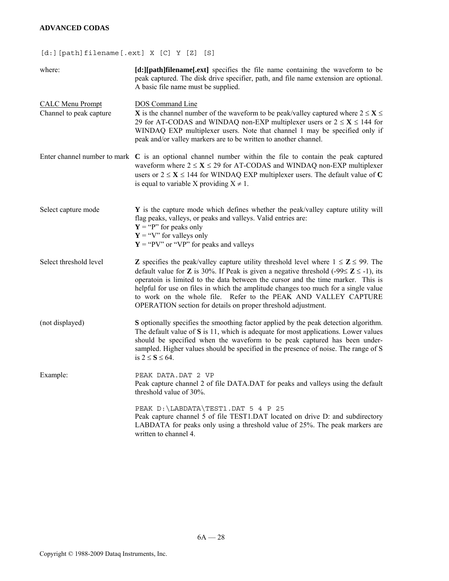# **ADVANCED CODAS**

# [d:][path]filename[.ext] X [C] Y [Z] [S]

| where:                                             | [d:][path]filename[.ext] specifies the file name containing the waveform to be<br>peak captured. The disk drive specifier, path, and file name extension are optional.<br>A basic file name must be supplied.                                                                                                                                                                                                                                                                                                                   |
|----------------------------------------------------|---------------------------------------------------------------------------------------------------------------------------------------------------------------------------------------------------------------------------------------------------------------------------------------------------------------------------------------------------------------------------------------------------------------------------------------------------------------------------------------------------------------------------------|
| <b>CALC Menu Prompt</b><br>Channel to peak capture | <b>DOS</b> Command Line<br><b>X</b> is the channel number of the waveform to be peak/valley captured where $2 \le X \le$<br>29 for AT-CODAS and WINDAQ non-EXP multiplexer users or $2 \le X \le 144$ for<br>WINDAQ EXP multiplexer users. Note that channel 1 may be specified only if<br>peak and/or valley markers are to be written to another channel.                                                                                                                                                                     |
|                                                    | Enter channel number to mark $C$ is an optional channel number within the file to contain the peak captured<br>waveform where $2 \le X \le 29$ for AT-CODAS and WINDAQ non-EXP multiplexer<br>users or $2 \le X \le 144$ for WINDAQ EXP multiplexer users. The default value of C<br>is equal to variable X providing $X \neq 1$ .                                                                                                                                                                                              |
| Select capture mode                                | Y is the capture mode which defines whether the peak/valley capture utility will<br>flag peaks, valleys, or peaks and valleys. Valid entries are:<br>$Y = "P"$ for peaks only<br>$Y = "V"$ for valleys only<br>$Y = "PV"$ or "VP" for peaks and valleys                                                                                                                                                                                                                                                                         |
| Select threshold level                             | <b>Z</b> specifies the peak/valley capture utility threshold level where $1 \le Z \le 99$ . The<br>default value for <b>Z</b> is 30%. If Peak is given a negative threshold (-99 $\leq$ <b>Z</b> $\leq$ -1), its<br>operatoin is limited to the data between the cursor and the time marker. This is<br>helpful for use on files in which the amplitude changes too much for a single value<br>to work on the whole file. Refer to the PEAK AND VALLEY CAPTURE<br>OPERATION section for details on proper threshold adjustment. |
| (not displayed)                                    | S optionally specifies the smoothing factor applied by the peak detection algorithm.<br>The default value of $S$ is 11, which is adequate for most applications. Lower values<br>should be specified when the waveform to be peak captured has been under-<br>sampled. Higher values should be specified in the presence of noise. The range of S<br>is $2 \le S \le 64$ .                                                                                                                                                      |
| Example:                                           | PEAK DATA.DAT 2 VP<br>Peak capture channel 2 of file DATA.DAT for peaks and valleys using the default<br>threshold value of 30%.                                                                                                                                                                                                                                                                                                                                                                                                |
|                                                    | PEAK D: \LABDATA\TEST1.DAT 5 4 P 25<br>Peak capture channel 5 of file TEST1.DAT located on drive D: and subdirectory<br>LABDATA for peaks only using a threshold value of 25%. The peak markers are<br>written to channel 4.                                                                                                                                                                                                                                                                                                    |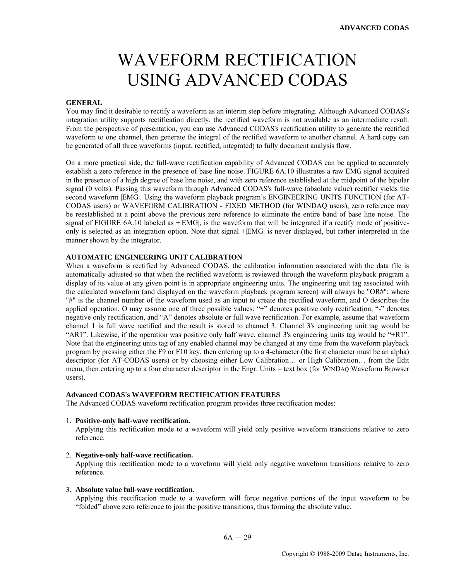# WAVEFORM RECTIFICATION USING ADVANCED CODAS

#### **GENERAL**

You may find it desirable to rectify a waveform as an interim step before integrating. Although Advanced CODAS's integration utility supports rectification directly, the rectified waveform is not available as an intermediate result. From the perspective of presentation, you can use Advanced CODAS's rectification utility to generate the rectified waveform to one channel, then generate the integral of the rectified waveform to another channel. A hard copy can be generated of all three waveforms (input, rectified, integrated) to fully document analysis flow.

On a more practical side, the full-wave rectification capability of Advanced CODAS can be applied to accurately establish a zero reference in the presence of base line noise. FIGURE 6A.10 illustrates a raw EMG signal acquired in the presence of a high degree of base line noise, and with zero reference established at the midpoint of the bipolar signal (0 volts). Passing this waveform through Advanced CODAS's full-wave (absolute value) rectifier yields the second waveform |EMG|. Using the waveform playback program's ENGINEERING UNITS FUNCTION (for AT-CODAS users) or WAVEFORM CALIBRATION - FIXED METHOD (for WINDAQ users), zero reference may be reestablished at a point above the previous zero reference to eliminate the entire band of base line noise. The signal of FIGURE 6A.10 labeled as  $+|EMG|$ , is the waveform that will be integrated if a rectify mode of positiveonly is selected as an integration option. Note that signal +|EMG| is never displayed, but rather interpreted in the manner shown by the integrator.

#### **AUTOMATIC ENGINEERING UNIT CALIBRATION**

When a waveform is rectified by Advanced CODAS, the calibration information associated with the data file is automatically adjusted so that when the rectified waveform is reviewed through the waveform playback program a display of its value at any given point is in appropriate engineering units. The engineering unit tag associated with the calculated waveform (and displayed on the waveform playback program screen) will always be "OR#"; where "#" is the channel number of the waveform used as an input to create the rectified waveform, and O describes the applied operation. O may assume one of three possible values: "+" denotes positive only rectification, "-" denotes negative only rectification, and "A" denotes absolute or full wave rectification. For example, assume that waveform channel 1 is full wave rectified and the result is stored to channel 3. Channel 3's engineering unit tag would be "AR1". Likewise, if the operation was positive only half wave, channel 3's engineering units tag would be "+R1". Note that the engineering units tag of any enabled channel may be changed at any time from the waveform playback program by pressing either the F9 or F10 key, then entering up to a 4-character (the first character must be an alpha) descriptor (for AT-CODAS users) or by choosing either Low Calibration… or High Calibration… from the Edit menu, then entering up to a four character descriptor in the Engr. Units = text box (for WINDAQ Waveform Browser users).

#### **Advanced CODAS's WAVEFORM RECTIFICATION FEATURES**

The Advanced CODAS waveform rectification program provides three rectification modes:

#### 1. **Positive-only half-wave rectification.**

Applying this rectification mode to a waveform will yield only positive waveform transitions relative to zero reference.

#### 2. **Negative-only half-wave rectification.**

Applying this rectification mode to a waveform will yield only negative waveform transitions relative to zero reference.

#### 3. **Absolute value full-wave rectification.**

Applying this rectification mode to a waveform will force negative portions of the input waveform to be "folded" above zero reference to join the positive transitions, thus forming the absolute value.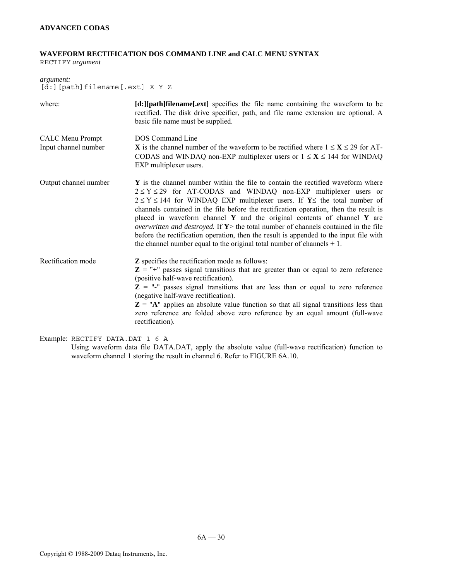# **WAVEFORM RECTIFICATION DOS COMMAND LINE and CALC MENU SYNTAX**

RECTIFY *argument* 

*argument:*  [d:][path]filename[.ext] X Y Z

| where:                                          | [d:][path]filename[.ext] specifies the file name containing the waveform to be<br>rectified. The disk drive specifier, path, and file name extension are optional. A<br>basic file name must be supplied.                                                                                                                                                                                                                                                                                                                                                                                                                                                                                       |
|-------------------------------------------------|-------------------------------------------------------------------------------------------------------------------------------------------------------------------------------------------------------------------------------------------------------------------------------------------------------------------------------------------------------------------------------------------------------------------------------------------------------------------------------------------------------------------------------------------------------------------------------------------------------------------------------------------------------------------------------------------------|
| <b>CALC Menu Prompt</b><br>Input channel number | <b>DOS</b> Command Line<br><b>X</b> is the channel number of the waveform to be rectified where $1 \le X \le 29$ for AT-<br>CODAS and WINDAQ non-EXP multiplexer users or $1 \le X \le 144$ for WINDAQ<br>EXP multiplexer users.                                                                                                                                                                                                                                                                                                                                                                                                                                                                |
| Output channel number                           | Y is the channel number within the file to contain the rectified waveform where<br>$2 \le Y \le 29$ for AT-CODAS and WINDAQ non-EXP multiplexer users or<br>$2 \le Y \le 144$ for WINDAQ EXP multiplexer users. If Y the total number of<br>channels contained in the file before the rectification operation, then the result is<br>placed in waveform channel $\bf{Y}$ and the original contents of channel $\bf{Y}$ are<br><i>overwritten and destroyed.</i> If $Y$ the total number of channels contained in the file<br>before the rectification operation, then the result is appended to the input file with<br>the channel number equal to the original total number of channels $+1$ . |
| Rectification mode                              | <b>Z</b> specifies the rectification mode as follows:<br>$Z =$ "+" passes signal transitions that are greater than or equal to zero reference<br>(positive half-wave rectification).<br>$Z =$ "-" passes signal transitions that are less than or equal to zero reference<br>(negative half-wave rectification).<br>$Z = "A"$ applies an absolute value function so that all signal transitions less than<br>zero reference are folded above zero reference by an equal amount (full-wave<br>rectification).                                                                                                                                                                                    |

Example: RECTIFY DATA.DAT 1 6 A

Using waveform data file DATA.DAT, apply the absolute value (full-wave rectification) function to waveform channel 1 storing the result in channel 6. Refer to FIGURE 6A.10.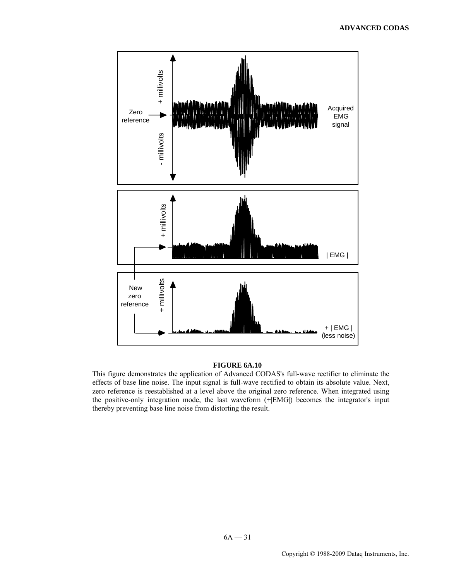

#### **FIGURE 6A.10**

This figure demonstrates the application of Advanced CODAS's full-wave rectifier to eliminate the effects of base line noise. The input signal is full-wave rectified to obtain its absolute value. Next, zero reference is reestablished at a level above the original zero reference. When integrated using the positive-only integration mode, the last waveform (+|EMG|) becomes the integrator's input thereby preventing base line noise from distorting the result.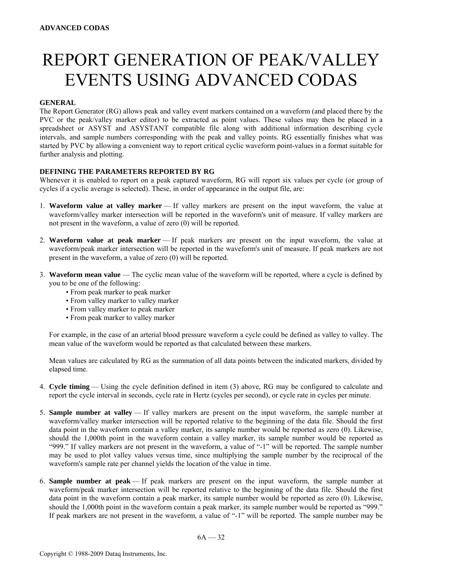# REPORT GENERATION OF PEAK/VALLEY EVENTS USING ADVANCED CODAS

# **GENERAL**

The Report Generator (RG) allows peak and valley event markers contained on a waveform (and placed there by the PVC or the peak/valley marker editor) to be extracted as point values. These values may then be placed in a spreadsheet or ASYST and ASYSTANT compatible file along with additional information describing cycle intervals, and sample numbers corresponding with the peak and valley points. RG essentially finishes what was started by PVC by allowing a convenient way to report critical cyclic waveform point-values in a format suitable for further analysis and plotting.

# **DEFINING THE PARAMETERS REPORTED BY RG**

Whenever it is enabled to report on a peak captured waveform, RG will report six values per cycle (or group of cycles if a cyclic average is selected). These, in order of appearance in the output file, are:

- 1. **Waveform value at valley marker** If valley markers are present on the input waveform, the value at waveform/valley marker intersection will be reported in the waveform's unit of measure. If valley markers are not present in the waveform, a value of zero (0) will be reported.
- 2. **Waveform value at peak marker** If peak markers are present on the input waveform, the value at waveform/peak marker intersection will be reported in the waveform's unit of measure. If peak markers are not present in the waveform, a value of zero (0) will be reported.
- 3. **Waveform mean value** The cyclic mean value of the waveform will be reported, where a cycle is defined by you to be one of the following:
	- From peak marker to peak marker
	- From valley marker to valley marker
	- From valley marker to peak marker
	- From peak marker to valley marker

 For example, in the case of an arterial blood pressure waveform a cycle could be defined as valley to valley. The mean value of the waveform would be reported as that calculated between these markers.

 Mean values are calculated by RG as the summation of all data points between the indicated markers, divided by elapsed time.

- 4. **Cycle timing** Using the cycle definition defined in item (3) above, RG may be configured to calculate and report the cycle interval in seconds, cycle rate in Hertz (cycles per second), or cycle rate in cycles per minute.
- 5. **Sample number at valley** If valley markers are present on the input waveform, the sample number at waveform/valley marker intersection will be reported relative to the beginning of the data file. Should the first data point in the waveform contain a valley marker, its sample number would be reported as zero (0). Likewise, should the 1,000th point in the waveform contain a valley marker, its sample number would be reported as "999." If valley markers are not present in the waveform, a value of "-1" will be reported. The sample number may be used to plot valley values versus time, since multiplying the sample number by the reciprocal of the waveform's sample rate per channel yields the location of the value in time.
- 6. **Sample number at peak** If peak markers are present on the input waveform, the sample number at waveform/peak marker intersection will be reported relative to the beginning of the data file. Should the first data point in the waveform contain a peak marker, its sample number would be reported as zero (0). Likewise, should the 1,000th point in the waveform contain a peak marker, its sample number would be reported as "999." If peak markers are not present in the waveform, a value of "-1" will be reported. The sample number may be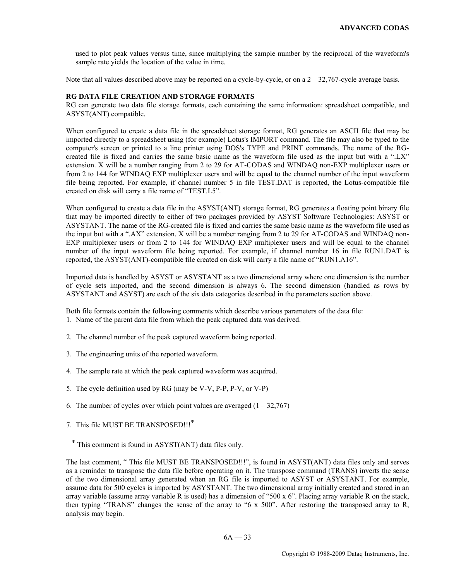used to plot peak values versus time, since multiplying the sample number by the reciprocal of the waveform's sample rate yields the location of the value in time.

Note that all values described above may be reported on a cycle-by-cycle, or on a  $2 - 32,767$ -cycle average basis.

### **RG DATA FILE CREATION AND STORAGE FORMATS**

RG can generate two data file storage formats, each containing the same information: spreadsheet compatible, and ASYST(ANT) compatible.

When configured to create a data file in the spreadsheet storage format, RG generates an ASCII file that may be imported directly to a spreadsheet using (for example) Lotus's IMPORT command. The file may also be typed to the computer's screen or printed to a line printer using DOS's TYPE and PRINT commands. The name of the RGcreated file is fixed and carries the same basic name as the waveform file used as the input but with a ".LX" extension. X will be a number ranging from 2 to 29 for AT-CODAS and WINDAQ non-EXP multiplexer users or from 2 to 144 for WINDAQ EXP multiplexer users and will be equal to the channel number of the input waveform file being reported. For example, if channel number 5 in file TEST.DAT is reported, the Lotus-compatible file created on disk will carry a file name of "TEST.L5".

When configured to create a data file in the ASYST(ANT) storage format, RG generates a floating point binary file that may be imported directly to either of two packages provided by ASYST Software Technologies: ASYST or ASYSTANT. The name of the RG-created file is fixed and carries the same basic name as the waveform file used as the input but with a ".AX" extension. X will be a number ranging from 2 to 29 for AT-CODAS and WINDAQ non-EXP multiplexer users or from 2 to 144 for WINDAQ EXP multiplexer users and will be equal to the channel number of the input waveform file being reported. For example, if channel number 16 in file RUN1.DAT is reported, the ASYST(ANT)-compatible file created on disk will carry a file name of "RUN1.A16".

Imported data is handled by ASYST or ASYSTANT as a two dimensional array where one dimension is the number of cycle sets imported, and the second dimension is always 6. The second dimension (handled as rows by ASYSTANT and ASYST) are each of the six data categories described in the parameters section above.

Both file formats contain the following comments which describe various parameters of the data file: 1. Name of the parent data file from which the peak captured data was derived.

- 2. The channel number of the peak captured waveform being reported.
- 3. The engineering units of the reported waveform.
- 4. The sample rate at which the peak captured waveform was acquired.
- 5. The cycle definition used by RG (may be V-V, P-P, P-V, or V-P)
- 6. The number of cycles over which point values are averaged  $(1 32,767)$
- 7. This file MUST BE TRANSPOSED!!!\*

\* This comment is found in ASYST(ANT) data files only.

The last comment, " This file MUST BE TRANSPOSED!!!", is found in ASYST(ANT) data files only and serves as a reminder to transpose the data file before operating on it. The transpose command (TRANS) inverts the sense of the two dimensional array generated when an RG file is imported to ASYST or ASYSTANT. For example, assume data for 500 cycles is imported by ASYSTANT. The two dimensional array initially created and stored in an array variable (assume array variable R is used) has a dimension of "500 x 6". Placing array variable R on the stack, then typing "TRANS" changes the sense of the array to "6 x 500". After restoring the transposed array to R, analysis may begin.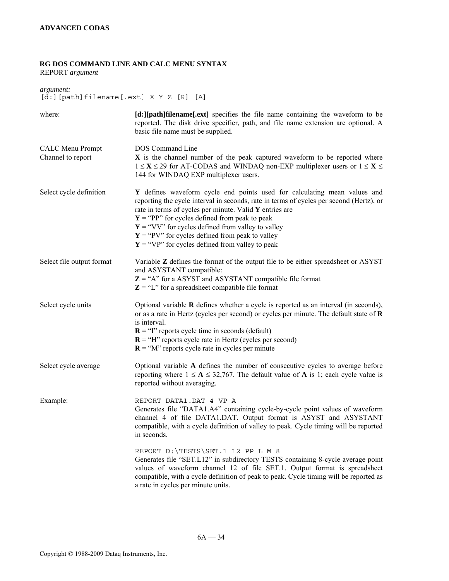# **RG DOS COMMAND LINE AND CALC MENU SYNTAX**

REPORT *argument* 

*argument:*   $[\tilde{d}$ : [path]filename [.ext] X Y Z  $[R]$  [A]

| where:                                       | [d:][path]filename[.ext] specifies the file name containing the waveform to be<br>reported. The disk drive specifier, path, and file name extension are optional. A<br>basic file name must be supplied.                                                                                                                                                                                                                                           |
|----------------------------------------------|----------------------------------------------------------------------------------------------------------------------------------------------------------------------------------------------------------------------------------------------------------------------------------------------------------------------------------------------------------------------------------------------------------------------------------------------------|
| <b>CALC Menu Prompt</b><br>Channel to report | <b>DOS</b> Command Line<br>X is the channel number of the peak captured waveform to be reported where<br>$1 \le X \le 29$ for AT-CODAS and WINDAQ non-EXP multiplexer users or $1 \le X \le$<br>144 for WINDAQ EXP multiplexer users.                                                                                                                                                                                                              |
| Select cycle definition                      | Y defines waveform cycle end points used for calculating mean values and<br>reporting the cycle interval in seconds, rate in terms of cycles per second (Hertz), or<br>rate in terms of cycles per minute. Valid Y entries are<br>$Y = "PP"$ for cycles defined from peak to peak<br>$Y = "VV"$ for cycles defined from valley to valley<br>$Y = "PV"$ for cycles defined from peak to valley<br>$Y = "VP"$ for cycles defined from valley to peak |
| Select file output format                    | Variable Z defines the format of the output file to be either spreadsheet or ASYST<br>and ASYSTANT compatible:<br>$Z = "A"$ for a ASYST and ASYSTANT compatible file format<br>$Z = "L"$ for a spreadsheet compatible file format                                                                                                                                                                                                                  |
| Select cycle units                           | Optional variable $\bf{R}$ defines whether a cycle is reported as an interval (in seconds),<br>or as a rate in Hertz (cycles per second) or cycles per minute. The default state of $R$<br>is interval.<br>$\mathbf{R}$ = "I" reports cycle time in seconds (default)<br>$\mathbf{R}$ = "H" reports cycle rate in Hertz (cycles per second)<br>$\mathbf{R}$ = "M" reports cycle rate in cycles per minute                                          |
| Select cycle average                         | Optional variable A defines the number of consecutive cycles to average before<br>reporting where $1 \le A \le 32,767$ . The default value of A is 1; each cycle value is<br>reported without averaging.                                                                                                                                                                                                                                           |
| Example:                                     | REPORT DATA1.DAT 4 VP A<br>Generates file "DATA1.A4" containing cycle-by-cycle point values of waveform<br>channel 4 of file DATA1.DAT. Output format is ASYST and ASYSTANT<br>compatible, with a cycle definition of valley to peak. Cycle timing will be reported<br>in seconds.                                                                                                                                                                 |
|                                              | REPORT D: \TESTS \SET.1 12 PP L M 8<br>Generates file "SET.L12" in subdirectory TESTS containing 8-cycle average point<br>values of waveform channel 12 of file SET.1. Output format is spreadsheet<br>compatible, with a cycle definition of peak to peak. Cycle timing will be reported as<br>a rate in cycles per minute units.                                                                                                                 |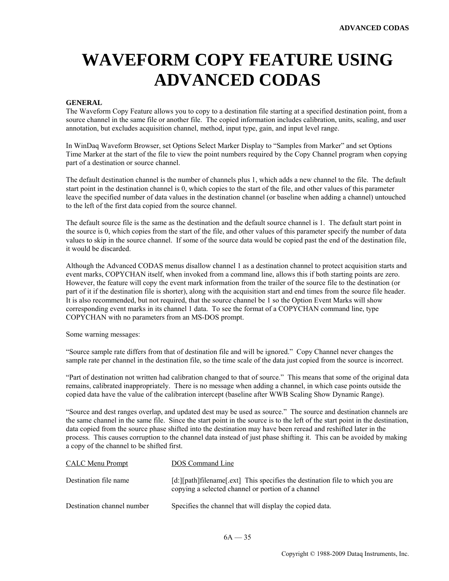# **WAVEFORM COPY FEATURE USING ADVANCED CODAS**

#### **GENERAL**

The Waveform Copy Feature allows you to copy to a destination file starting at a specified destination point, from a source channel in the same file or another file. The copied information includes calibration, units, scaling, and user annotation, but excludes acquisition channel, method, input type, gain, and input level range.

In WinDaq Waveform Browser, set Options Select Marker Display to "Samples from Marker" and set Options Time Marker at the start of the file to view the point numbers required by the Copy Channel program when copying part of a destination or source channel.

The default destination channel is the number of channels plus 1, which adds a new channel to the file. The default start point in the destination channel is 0, which copies to the start of the file, and other values of this parameter leave the specified number of data values in the destination channel (or baseline when adding a channel) untouched to the left of the first data copied from the source channel.

The default source file is the same as the destination and the default source channel is 1. The default start point in the source is 0, which copies from the start of the file, and other values of this parameter specify the number of data values to skip in the source channel. If some of the source data would be copied past the end of the destination file, it would be discarded.

Although the Advanced CODAS menus disallow channel 1 as a destination channel to protect acquisition starts and event marks, COPYCHAN itself, when invoked from a command line, allows this if both starting points are zero. However, the feature will copy the event mark information from the trailer of the source file to the destination (or part of it if the destination file is shorter), along with the acquisition start and end times from the source file header. It is also recommended, but not required, that the source channel be 1 so the Option Event Marks will show corresponding event marks in its channel 1 data. To see the format of a COPYCHAN command line, type COPYCHAN with no parameters from an MS-DOS prompt.

Some warning messages:

"Source sample rate differs from that of destination file and will be ignored." Copy Channel never changes the sample rate per channel in the destination file, so the time scale of the data just copied from the source is incorrect.

"Part of destination not written had calibration changed to that of source." This means that some of the original data remains, calibrated inappropriately. There is no message when adding a channel, in which case points outside the copied data have the value of the calibration intercept (baseline after WWB Scaling Show Dynamic Range).

"Source and dest ranges overlap, and updated dest may be used as source." The source and destination channels are the same channel in the same file. Since the start point in the source is to the left of the start point in the destination, data copied from the source phase shifted into the destination may have been reread and reshifted later in the process. This causes corruption to the channel data instead of just phase shifting it. This can be avoided by making a copy of the channel to be shifted first.

| <b>CALC Menu Prompt</b>    | DOS Command Line                                                                                                                    |
|----------------------------|-------------------------------------------------------------------------------------------------------------------------------------|
| Destination file name      | [d:][path]filename[.ext] This specifies the destination file to which you are<br>copying a selected channel or portion of a channel |
| Destination channel number | Specifies the channel that will display the copied data.                                                                            |